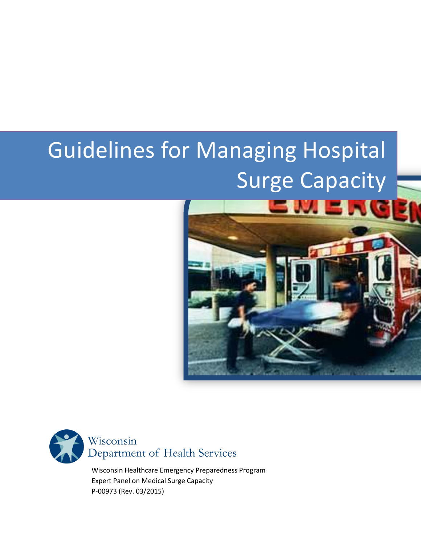# Guidelines for Managing Hospital Surge Capacity





Wisconsin Healthcare Emergency Preparedness Program Expert Panel on Medical Surge Capacity P-00973 (Rev. 03/2015)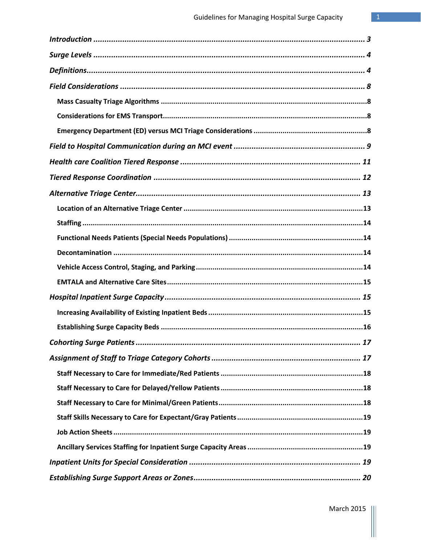| 17 |
|----|
|    |
|    |
|    |
|    |
|    |
|    |
|    |
|    |
|    |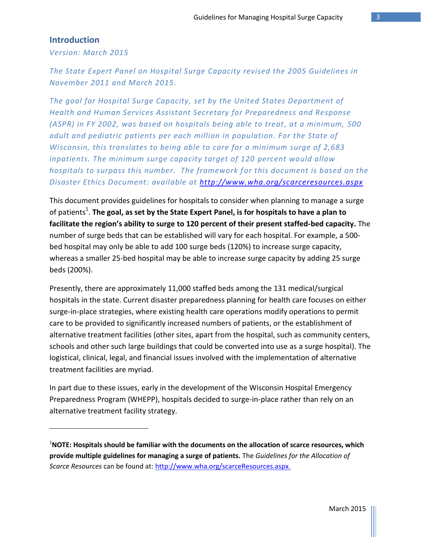## <span id="page-3-0"></span>**Introduction**

 $\overline{a}$ 

*Version: March 2015*

*The State Expert Panel on Hospital Surge Capacity revised the 2005 Guidelines in November 2011 and March 2015.*

*The goal for Hospital Surge Capacity, set by the United States Department of Health and Human Services Assistant Secretary for Preparedness and Response (ASPR) in FY 2002, was based on hospitals being able to treat, at a minimum, 500 adult and pediatric patients per each million in population. For the State of Wisconsin, this translates to being able to care for a minimum surge of 2,683 inpatients. The minimum surge capacity target of 120 percent would allow hospitals to surpass this number. The framework for this document is based on the Disaster Ethics Document: available at <http://www.wha.org/scarceresources.aspx>*

This document provides guidelines for hospitals to consider when planning to manage a surge of patients<sup>1</sup>. **The goal, as set by the State Expert Panel, is for hospitals to have a plan to facilitate the region's ability to surge to 120 percent of their present staffed-bed capacity.** The number of surge beds that can be established will vary for each hospital. For example, a 500 bed hospital may only be able to add 100 surge beds (120%) to increase surge capacity, whereas a smaller 25-bed hospital may be able to increase surge capacity by adding 25 surge beds (200%).

Presently, there are approximately 11,000 staffed beds among the 131 medical/surgical hospitals in the state. Current disaster preparedness planning for health care focuses on either surge-in-place strategies, where existing health care operations modify operations to permit care to be provided to significantly increased numbers of patients, or the establishment of alternative treatment facilities (other sites, apart from the hospital, such as community centers, schools and other such large buildings that could be converted into use as a surge hospital). The logistical, clinical, legal, and financial issues involved with the implementation of alternative treatment facilities are myriad.

In part due to these issues, early in the development of the Wisconsin Hospital Emergency Preparedness Program (WHEPP), hospitals decided to surge-in-place rather than rely on an alternative treatment facility strategy.

<sup>1</sup>**NOTE: Hospitals should be familiar with the documents on the allocation of scarce resources, which provide multiple guidelines for managing a surge of patients.** The *Guidelines for the Allocation of Scarce Resources* can be found at:<http://www.wha.org/scarceResources.aspx.>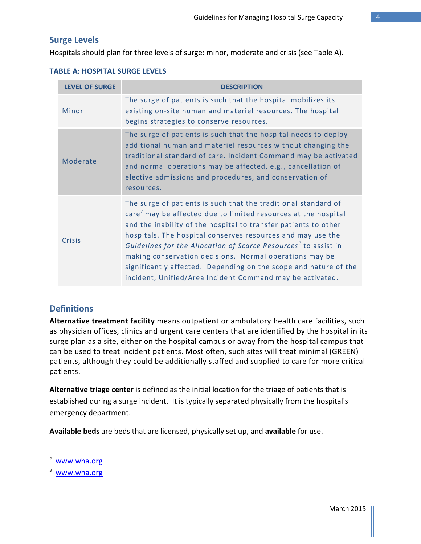# <span id="page-4-0"></span>**Surge Levels**

Hospitals should plan for three levels of surge: minor, moderate and crisis (see Table A).

| <b>LEVEL OF SURGE</b> | <b>DESCRIPTION</b>                                                                                                                                                                                                                                                                                                                                                                                                                                                                                                                                        |
|-----------------------|-----------------------------------------------------------------------------------------------------------------------------------------------------------------------------------------------------------------------------------------------------------------------------------------------------------------------------------------------------------------------------------------------------------------------------------------------------------------------------------------------------------------------------------------------------------|
| Minor                 | The surge of patients is such that the hospital mobilizes its<br>existing on-site human and materiel resources. The hospital<br>begins strategies to conserve resources.                                                                                                                                                                                                                                                                                                                                                                                  |
| Moderate              | The surge of patients is such that the hospital needs to deploy<br>additional human and materiel resources without changing the<br>traditional standard of care. Incident Command may be activated<br>and normal operations may be affected, e.g., cancellation of<br>elective admissions and procedures, and conservation of<br>resources.                                                                                                                                                                                                               |
| Crisis                | The surge of patients is such that the traditional standard of<br>care <sup>2</sup> may be affected due to limited resources at the hospital<br>and the inability of the hospital to transfer patients to other<br>hospitals. The hospital conserves resources and may use the<br>Guidelines for the Allocation of Scarce Resources <sup>3</sup> to assist in<br>making conservation decisions. Normal operations may be<br>significantly affected. Depending on the scope and nature of the<br>incident, Unified/Area Incident Command may be activated. |

## **TABLE A: HOSPITAL SURGE LEVELS**

# <span id="page-4-1"></span>**Definitions**

**Alternative treatment facility** means outpatient or ambulatory health care facilities, such as physician offices, clinics and urgent care centers that are identified by the hospital in its surge plan as a site, either on the hospital campus or away from the hospital campus that can be used to treat incident patients. Most often, such sites will treat minimal (GREEN) patients, although they could be additionally staffed and supplied to care for more critical patients.

**Alternative triage center** is defined as the initial location for the triage of patients that is established during a surge incident. It is typically separated physically from the hospital's emergency department.

**Available beds** are beds that are licensed, physically set up, and **available** for use.

 $\overline{\phantom{a}}$ 

<sup>&</sup>lt;sup>2</sup> <www.wha.org>

<www.wha.org>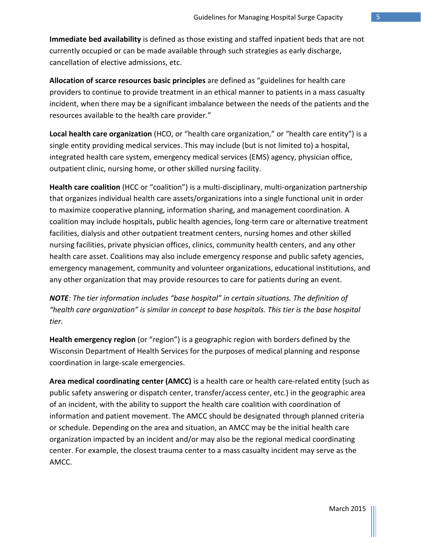**Immediate bed availability** is defined as those existing and staffed inpatient beds that are not currently occupied or can be made available through such strategies as early discharge, cancellation of elective admissions, etc.

**Allocation of scarce resources basic principles** are defined as "guidelines for health care providers to continue to provide treatment in an ethical manner to patients in a mass casualty incident, when there may be a significant imbalance between the needs of the patients and the resources available to the health care provider."

**Local health care organization** (HCO, or "health care organization," or "health care entity") is a single entity providing medical services. This may include (but is not limited to) a hospital, integrated health care system, emergency medical services (EMS) agency, physician office, outpatient clinic, nursing home, or other skilled nursing facility.

**Health care coalition** (HCC or "coalition") is a multi-disciplinary, multi-organization partnership that organizes individual health care assets/organizations into a single functional unit in order to maximize cooperative planning, information sharing, and management coordination. A coalition may include hospitals, public health agencies, long-term care or alternative treatment facilities, dialysis and other outpatient treatment centers, nursing homes and other skilled nursing facilities, private physician offices, clinics, community health centers, and any other health care asset. Coalitions may also include emergency response and public safety agencies, emergency management, community and volunteer organizations, educational institutions, and any other organization that may provide resources to care for patients during an event.

*NOTE: The tier information includes "base hospital" in certain situations. The definition of "health care organization" is similar in concept to base hospitals. This tier is the base hospital tier.*

**Health emergency region** (or "region") is a geographic region with borders defined by the Wisconsin Department of Health Services for the purposes of medical planning and response coordination in large-scale emergencies.

**Area medical coordinating center (AMCC)** is a health care or health care-related entity (such as public safety answering or dispatch center, transfer/access center, etc.) in the geographic area of an incident, with the ability to support the health care coalition with coordination of information and patient movement. The AMCC should be designated through planned criteria or schedule. Depending on the area and situation, an AMCC may be the initial health care organization impacted by an incident and/or may also be the regional medical coordinating center. For example, the closest trauma center to a mass casualty incident may serve as the AMCC.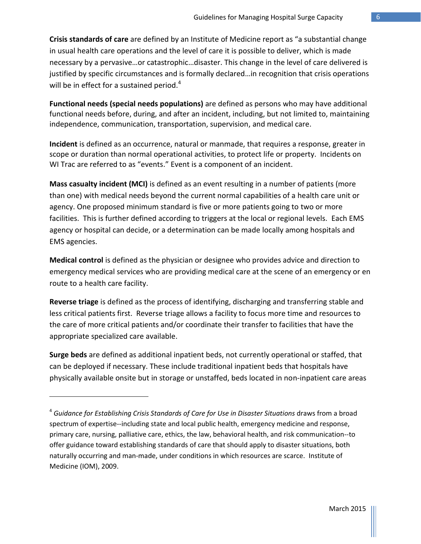**Crisis standards of care** are defined by an Institute of Medicine report as "a substantial change in usual health care operations and the level of care it is possible to deliver, which is made necessary by a pervasive…or catastrophic…disaster. This change in the level of care delivered is justified by specific circumstances and is formally declared…in recognition that crisis operations will be in effect for a sustained period.<sup>4</sup>

**Functional needs (special needs populations)** are defined as persons who may have additional functional needs before, during, and after an incident, including, but not limited to, maintaining independence, communication, transportation, supervision, and medical care.

**Incident** is defined as an occurrence, natural or manmade, that requires a response, greater in scope or duration than normal operational activities, to protect life or property. Incidents on WI Trac are referred to as "events." Event is a component of an incident.

**Mass casualty incident (MCI)** is defined as an event resulting in a number of patients (more than one) with medical needs beyond the current normal capabilities of a health care unit or agency. One proposed minimum standard is five or more patients going to two or more facilities. This is further defined according to triggers at the local or regional levels. Each EMS agency or hospital can decide, or a determination can be made locally among hospitals and EMS agencies.

**Medical control** is defined as the physician or designee who provides advice and direction to emergency medical services who are providing medical care at the scene of an emergency or en route to a health care facility.

**Reverse triage** is defined as the process of identifying, discharging and transferring stable and less critical patients first. Reverse triage allows a facility to focus more time and resources to the care of more critical patients and/or coordinate their transfer to facilities that have the appropriate specialized care available.

**Surge beds** are defined as additional inpatient beds, not currently operational or staffed, that can be deployed if necessary. These include traditional inpatient beds that hospitals have physically available onsite but in storage or unstaffed, beds located in non-inpatient care areas

 $\overline{\phantom{a}}$ 

<sup>4</sup> *Guidance for Establishing Crisis Standards of Care for Use in Disaster Situations* draws from a broad spectrum of expertise--including state and local public health, emergency medicine and response, primary care, nursing, palliative care, ethics, the law, behavioral health, and risk communication--to offer guidance toward establishing standards of care that should apply to disaster situations, both naturally occurring and man-made, under conditions in which resources are scarce. Institute of Medicine (IOM), 2009.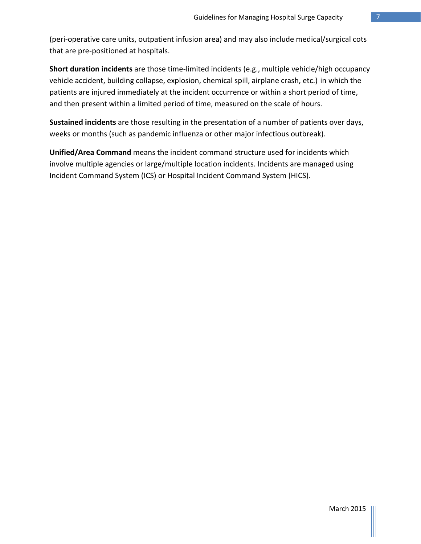(peri-operative care units, outpatient infusion area) and may also include medical/surgical cots that are pre-positioned at hospitals.

**Short duration incidents** are those time-limited incidents (e.g., multiple vehicle/high occupancy vehicle accident, building collapse, explosion, chemical spill, airplane crash, etc.) in which the patients are injured immediately at the incident occurrence or within a short period of time, and then present within a limited period of time, measured on the scale of hours.

**Sustained incidents** are those resulting in the presentation of a number of patients over days, weeks or months (such as pandemic influenza or other major infectious outbreak).

**Unified/Area Command** means the incident command structure used for incidents which involve multiple agencies or large/multiple location incidents. Incidents are managed using Incident Command System (ICS) or Hospital Incident Command System (HICS).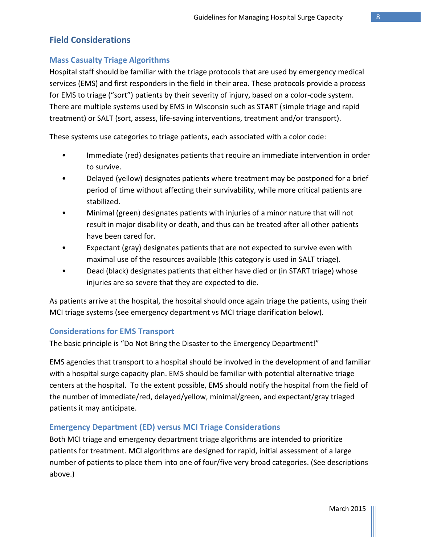# <span id="page-8-0"></span>**Field Considerations**

## <span id="page-8-1"></span>**Mass Casualty Triage Algorithms**

Hospital staff should be familiar with the triage protocols that are used by emergency medical services (EMS) and first responders in the field in their area. These protocols provide a process for EMS to triage ("sort") patients by their severity of injury, based on a color-code system. There are multiple systems used by EMS in Wisconsin such as START (simple triage and rapid treatment) or SALT (sort, assess, life-saving interventions, treatment and/or transport).

These systems use categories to triage patients, each associated with a color code:

- Immediate (red) designates patients that require an immediate intervention in order to survive.
- Delayed (yellow) designates patients where treatment may be postponed for a brief period of time without affecting their survivability, while more critical patients are stabilized.
- Minimal (green) designates patients with injuries of a minor nature that will not result in major disability or death, and thus can be treated after all other patients have been cared for.
- Expectant (gray) designates patients that are not expected to survive even with maximal use of the resources available (this category is used in SALT triage).
- Dead (black) designates patients that either have died or (in START triage) whose injuries are so severe that they are expected to die.

As patients arrive at the hospital, the hospital should once again triage the patients, using their MCI triage systems (see emergency department vs MCI triage clarification below).

## <span id="page-8-2"></span>**Considerations for EMS Transport**

The basic principle is "Do Not Bring the Disaster to the Emergency Department!"

EMS agencies that transport to a hospital should be involved in the development of and familiar with a hospital surge capacity plan. EMS should be familiar with potential alternative triage centers at the hospital. To the extent possible, EMS should notify the hospital from the field of the number of immediate/red, delayed/yellow, minimal/green, and expectant/gray triaged patients it may anticipate.

## <span id="page-8-3"></span>**Emergency Department (ED) versus MCI Triage Considerations**

Both MCI triage and emergency department triage algorithms are intended to prioritize patients for treatment. MCI algorithms are designed for rapid, initial assessment of a large number of patients to place them into one of four/five very broad categories. (See descriptions above.)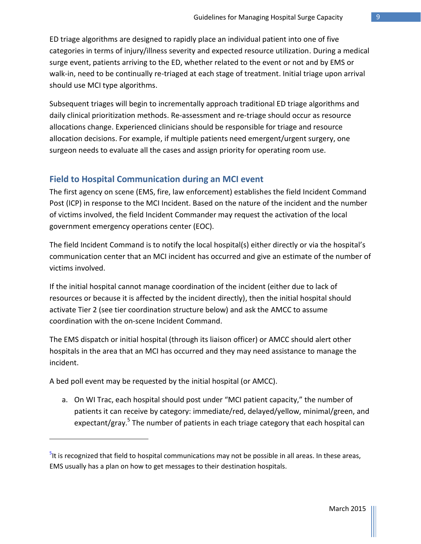ED triage algorithms are designed to rapidly place an individual patient into one of five categories in terms of injury/illness severity and expected resource utilization. During a medical surge event, patients arriving to the ED, whether related to the event or not and by EMS or walk-in, need to be continually re-triaged at each stage of treatment. Initial triage upon arrival should use MCI type algorithms.

Subsequent triages will begin to incrementally approach traditional ED triage algorithms and daily clinical prioritization methods. Re-assessment and re-triage should occur as resource allocations change. Experienced clinicians should be responsible for triage and resource allocation decisions. For example, if multiple patients need emergent/urgent surgery, one surgeon needs to evaluate all the cases and assign priority for operating room use.

# <span id="page-9-0"></span>**Field to Hospital Communication during an MCI event**

The first agency on scene (EMS, fire, law enforcement) establishes the field Incident Command Post (ICP) in response to the MCI Incident. Based on the nature of the incident and the number of victims involved, the field Incident Commander may request the activation of the local government emergency operations center (EOC).

The field Incident Command is to notify the local hospital(s) either directly or via the hospital's communication center that an MCI incident has occurred and give an estimate of the number of victims involved.

If the initial hospital cannot manage coordination of the incident (either due to lack of resources or because it is affected by the incident directly), then the initial hospital should activate Tier 2 (see tier coordination structure below) and ask the AMCC to assume coordination with the on-scene Incident Command.

The EMS dispatch or initial hospital (through its liaison officer) or AMCC should alert other hospitals in the area that an MCI has occurred and they may need assistance to manage the incident.

A bed poll event may be requested by the initial hospital (or AMCC).

l

a. On WI Trac, each hospital should post under "MCI patient capacity," the number of patients it can receive by category: immediate/red, delayed/yellow, minimal/green, and expectant/gray.<sup>5</sup> The number of patients in each triage category that each hospital can

<sup>&</sup>lt;sup>5</sup>lt is recognized that field to hospital communications may not be possible in all areas. In these areas, EMS usually has a plan on how to get messages to their destination hospitals.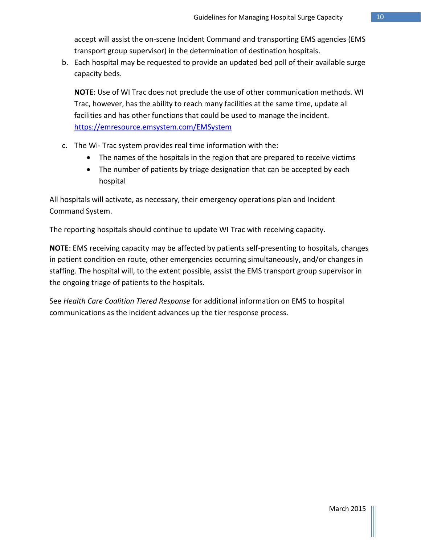accept will assist the on-scene Incident Command and transporting EMS agencies (EMS transport group supervisor) in the determination of destination hospitals.

b. Each hospital may be requested to provide an updated bed poll of their available surge capacity beds.

**NOTE**: Use of WI Trac does not preclude the use of other communication methods. WI Trac, however, has the ability to reach many facilities at the same time, update all facilities and has other functions that could be used to manage the incident. <https://emresource.emsystem.com/EMSystem>

- c. The Wi- Trac system provides real time information with the:
	- The names of the hospitals in the region that are prepared to receive victims
	- The number of patients by triage designation that can be accepted by each hospital

All hospitals will activate, as necessary, their emergency operations plan and Incident Command System.

The reporting hospitals should continue to update WI Trac with receiving capacity.

**NOTE**: EMS receiving capacity may be affected by patients self-presenting to hospitals, changes in patient condition en route, other emergencies occurring simultaneously, and/or changes in staffing. The hospital will, to the extent possible, assist the EMS transport group supervisor in the ongoing triage of patients to the hospitals.

See *Health Care Coalition Tiered Response* for additional information on EMS to hospital communications as the incident advances up the tier response process.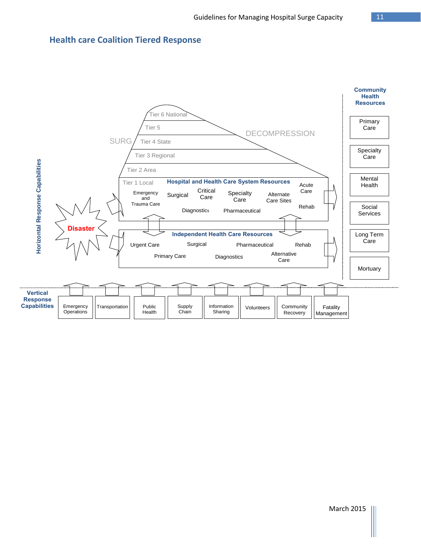# <span id="page-11-0"></span>**Health care Coalition Tiered Response**

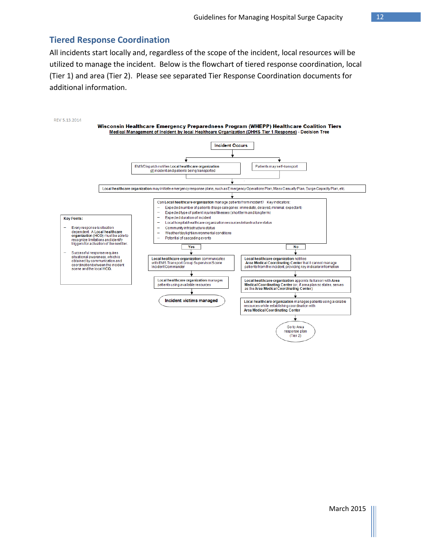# <span id="page-12-0"></span>**Tiered Response Coordination**

All incidents start locally and, regardless of the scope of the incident, local resources will be utilized to manage the incident. Below is the flowchart of tiered response coordination, local (Tier 1) and area (Tier 2). Please see separated Tier Response Coordination documents for additional information.

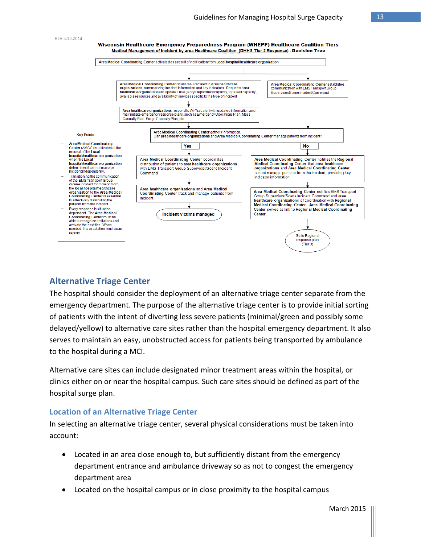

# <span id="page-13-0"></span>**Alternative Triage Center**

The hospital should consider the deployment of an alternative triage center separate from the emergency department. The purpose of the alternative triage center is to provide initial sorting of patients with the intent of diverting less severe patients (minimal/green and possibly some delayed/yellow) to alternative care sites rather than the hospital emergency department. It also serves to maintain an easy, unobstructed access for patients being transported by ambulance to the hospital during a MCI.

Alternative care sites can include designated minor treatment areas within the hospital, or clinics either on or near the hospital campus. Such care sites should be defined as part of the hospital surge plan.

# <span id="page-13-1"></span>**Location of an Alternative Triage Center**

In selecting an alternative triage center, several physical considerations must be taken into account:

- Located in an area close enough to, but sufficiently distant from the emergency department entrance and ambulance driveway so as not to congest the emergency department area
- Located on the hospital campus or in close proximity to the hospital campus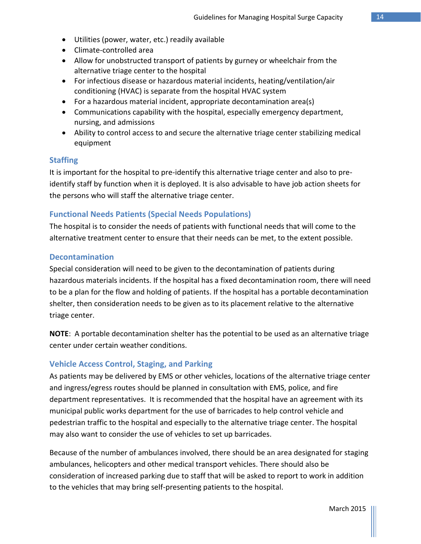- Utilities (power, water, etc.) readily available
- Climate-controlled area
- Allow for unobstructed transport of patients by gurney or wheelchair from the alternative triage center to the hospital
- For infectious disease or hazardous material incidents, heating/ventilation/air conditioning (HVAC) is separate from the hospital HVAC system
- For a hazardous material incident, appropriate decontamination area(s)
- Communications capability with the hospital, especially emergency department, nursing, and admissions
- Ability to control access to and secure the alternative triage center stabilizing medical equipment

## <span id="page-14-0"></span>**Staffing**

It is important for the hospital to pre-identify this alternative triage center and also to preidentify staff by function when it is deployed. It is also advisable to have job action sheets for the persons who will staff the alternative triage center.

## <span id="page-14-1"></span>**Functional Needs Patients (Special Needs Populations)**

The hospital is to consider the needs of patients with functional needs that will come to the alternative treatment center to ensure that their needs can be met, to the extent possible.

## <span id="page-14-2"></span>**Decontamination**

Special consideration will need to be given to the decontamination of patients during hazardous materials incidents. If the hospital has a fixed decontamination room, there will need to be a plan for the flow and holding of patients. If the hospital has a portable decontamination shelter, then consideration needs to be given as to its placement relative to the alternative triage center.

**NOTE**: A portable decontamination shelter has the potential to be used as an alternative triage center under certain weather conditions.

## <span id="page-14-3"></span>**Vehicle Access Control, Staging, and Parking**

As patients may be delivered by EMS or other vehicles, locations of the alternative triage center and ingress/egress routes should be planned in consultation with EMS, police, and fire department representatives. It is recommended that the hospital have an agreement with its municipal public works department for the use of barricades to help control vehicle and pedestrian traffic to the hospital and especially to the alternative triage center. The hospital may also want to consider the use of vehicles to set up barricades.

Because of the number of ambulances involved, there should be an area designated for staging ambulances, helicopters and other medical transport vehicles. There should also be consideration of increased parking due to staff that will be asked to report to work in addition to the vehicles that may bring self-presenting patients to the hospital.

March 2015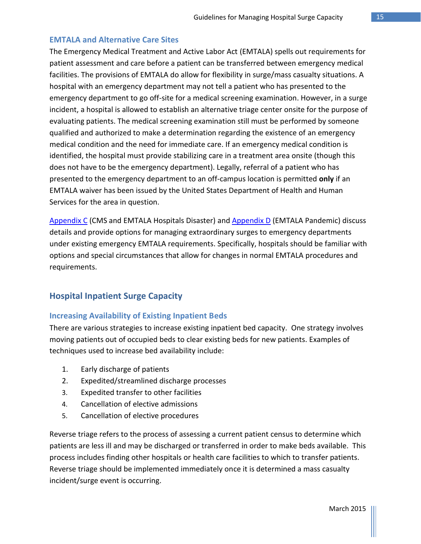## <span id="page-15-0"></span>**EMTALA and Alternative Care Sites**

The Emergency Medical Treatment and Active Labor Act (EMTALA) spells out requirements for patient assessment and care before a patient can be transferred between emergency medical facilities. The provisions of EMTALA do allow for flexibility in surge/mass casualty situations. A hospital with an emergency department may not tell a patient who has presented to the emergency department to go off-site for a medical screening examination. However, in a surge incident, a hospital is allowed to establish an alternative triage center onsite for the purpose of evaluating patients. The medical screening examination still must be performed by someone qualified and authorized to make a determination regarding the existence of an emergency medical condition and the need for immediate care. If an emergency medical condition is identified, the hospital must provide stabilizing care in a treatment area onsite (though this does not have to be the emergency department). Legally, referral of a patient who has presented to the emergency department to an off-campus location is permitted **only** if an EMTALA waiver has been issued by the United States Department of Health and Human Services for the area in question.

[Appendix C](#page-34-0) (CMS and EMTALA Hospitals Disaster) and [Appendix D](#page-36-0) (EMTALA Pandemic) discuss details and provide options for managing extraordinary surges to emergency departments under existing emergency EMTALA requirements. Specifically, hospitals should be familiar with options and special circumstances that allow for changes in normal EMTALA procedures and requirements.

# <span id="page-15-1"></span>**Hospital Inpatient Surge Capacity**

## <span id="page-15-2"></span>**Increasing Availability of Existing Inpatient Beds**

There are various strategies to increase existing inpatient bed capacity. One strategy involves moving patients out of occupied beds to clear existing beds for new patients. Examples of techniques used to increase bed availability include:

- 1. Early discharge of patients
- 2. Expedited/streamlined discharge processes
- 3. Expedited transfer to other facilities
- 4. Cancellation of elective admissions
- 5. Cancellation of elective procedures

Reverse triage refers to the process of assessing a current patient census to determine which patients are less ill and may be discharged or transferred in order to make beds available. This process includes finding other hospitals or health care facilities to which to transfer patients. Reverse triage should be implemented immediately once it is determined a mass casualty incident/surge event is occurring.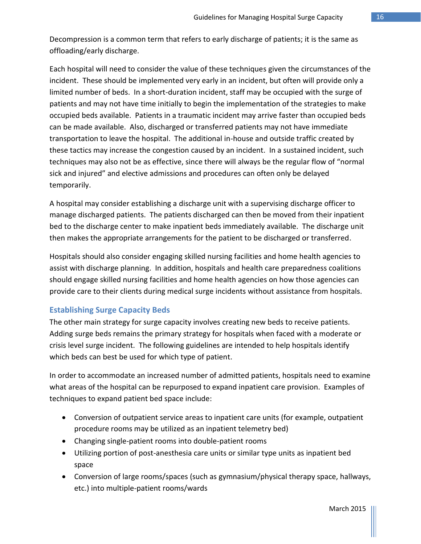Decompression is a common term that refers to early discharge of patients; it is the same as offloading/early discharge.

Each hospital will need to consider the value of these techniques given the circumstances of the incident. These should be implemented very early in an incident, but often will provide only a limited number of beds. In a short-duration incident, staff may be occupied with the surge of patients and may not have time initially to begin the implementation of the strategies to make occupied beds available. Patients in a traumatic incident may arrive faster than occupied beds can be made available. Also, discharged or transferred patients may not have immediate transportation to leave the hospital. The additional in-house and outside traffic created by these tactics may increase the congestion caused by an incident. In a sustained incident, such techniques may also not be as effective, since there will always be the regular flow of "normal sick and injured" and elective admissions and procedures can often only be delayed temporarily.

A hospital may consider establishing a discharge unit with a supervising discharge officer to manage discharged patients. The patients discharged can then be moved from their inpatient bed to the discharge center to make inpatient beds immediately available. The discharge unit then makes the appropriate arrangements for the patient to be discharged or transferred.

Hospitals should also consider engaging skilled nursing facilities and home health agencies to assist with discharge planning. In addition, hospitals and health care preparedness coalitions should engage skilled nursing facilities and home health agencies on how those agencies can provide care to their clients during medical surge incidents without assistance from hospitals.

# <span id="page-16-0"></span>**Establishing Surge Capacity Beds**

The other main strategy for surge capacity involves creating new beds to receive patients. Adding surge beds remains the primary strategy for hospitals when faced with a moderate or crisis level surge incident. The following guidelines are intended to help hospitals identify which beds can best be used for which type of patient.

In order to accommodate an increased number of admitted patients, hospitals need to examine what areas of the hospital can be repurposed to expand inpatient care provision. Examples of techniques to expand patient bed space include:

- Conversion of outpatient service areas to inpatient care units (for example, outpatient procedure rooms may be utilized as an inpatient telemetry bed)
- Changing single-patient rooms into double-patient rooms
- Utilizing portion of post-anesthesia care units or similar type units as inpatient bed space
- Conversion of large rooms/spaces (such as gymnasium/physical therapy space, hallways, etc.) into multiple-patient rooms/wards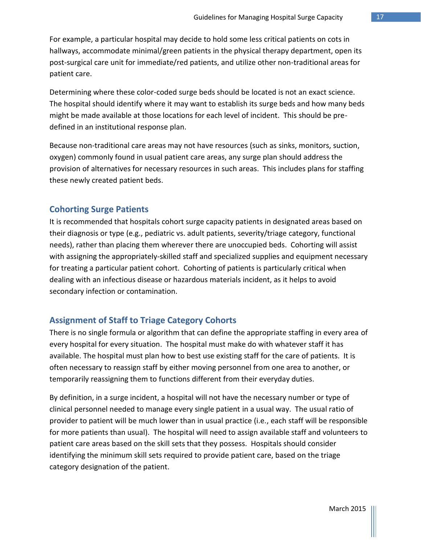For example, a particular hospital may decide to hold some less critical patients on cots in hallways, accommodate minimal/green patients in the physical therapy department, open its post-surgical care unit for immediate/red patients, and utilize other non-traditional areas for patient care.

Determining where these color-coded surge beds should be located is not an exact science. The hospital should identify where it may want to establish its surge beds and how many beds might be made available at those locations for each level of incident. This should be predefined in an institutional response plan.

Because non-traditional care areas may not have resources (such as sinks, monitors, suction, oxygen) commonly found in usual patient care areas, any surge plan should address the provision of alternatives for necessary resources in such areas. This includes plans for staffing these newly created patient beds.

# <span id="page-17-0"></span>**Cohorting Surge Patients**

It is recommended that hospitals cohort surge capacity patients in designated areas based on their diagnosis or type (e.g., pediatric vs. adult patients, severity/triage category, functional needs), rather than placing them wherever there are unoccupied beds. Cohorting will assist with assigning the appropriately-skilled staff and specialized supplies and equipment necessary for treating a particular patient cohort. Cohorting of patients is particularly critical when dealing with an infectious disease or hazardous materials incident, as it helps to avoid secondary infection or contamination.

# <span id="page-17-1"></span>**Assignment of Staff to Triage Category Cohorts**

There is no single formula or algorithm that can define the appropriate staffing in every area of every hospital for every situation. The hospital must make do with whatever staff it has available. The hospital must plan how to best use existing staff for the care of patients. It is often necessary to reassign staff by either moving personnel from one area to another, or temporarily reassigning them to functions different from their everyday duties.

By definition, in a surge incident, a hospital will not have the necessary number or type of clinical personnel needed to manage every single patient in a usual way. The usual ratio of provider to patient will be much lower than in usual practice (i.e., each staff will be responsible for more patients than usual). The hospital will need to assign available staff and volunteers to patient care areas based on the skill sets that they possess. Hospitals should consider identifying the minimum skill sets required to provide patient care, based on the triage category designation of the patient.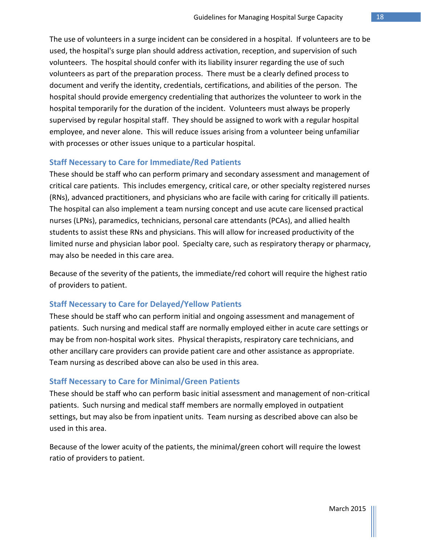The use of volunteers in a surge incident can be considered in a hospital. If volunteers are to be used, the hospital's surge plan should address activation, reception, and supervision of such volunteers. The hospital should confer with its liability insurer regarding the use of such volunteers as part of the preparation process. There must be a clearly defined process to document and verify the identity, credentials, certifications, and abilities of the person. The hospital should provide emergency credentialing that authorizes the volunteer to work in the hospital temporarily for the duration of the incident. Volunteers must always be properly supervised by regular hospital staff. They should be assigned to work with a regular hospital employee, and never alone. This will reduce issues arising from a volunteer being unfamiliar with processes or other issues unique to a particular hospital.

# <span id="page-18-0"></span>**Staff Necessary to Care for Immediate/Red Patients**

These should be staff who can perform primary and secondary assessment and management of critical care patients. This includes emergency, critical care, or other specialty registered nurses (RNs), advanced practitioners, and physicians who are facile with caring for critically ill patients. The hospital can also implement a team nursing concept and use acute care licensed practical nurses (LPNs), paramedics, technicians, personal care attendants (PCAs), and allied health students to assist these RNs and physicians. This will allow for increased productivity of the limited nurse and physician labor pool. Specialty care, such as respiratory therapy or pharmacy, may also be needed in this care area.

Because of the severity of the patients, the immediate/red cohort will require the highest ratio of providers to patient.

# <span id="page-18-1"></span>**Staff Necessary to Care for Delayed/Yellow Patients**

These should be staff who can perform initial and ongoing assessment and management of patients. Such nursing and medical staff are normally employed either in acute care settings or may be from non-hospital work sites. Physical therapists, respiratory care technicians, and other ancillary care providers can provide patient care and other assistance as appropriate. Team nursing as described above can also be used in this area.

# <span id="page-18-2"></span>**Staff Necessary to Care for Minimal/Green Patients**

These should be staff who can perform basic initial assessment and management of non-critical patients. Such nursing and medical staff members are normally employed in outpatient settings, but may also be from inpatient units. Team nursing as described above can also be used in this area.

Because of the lower acuity of the patients, the minimal/green cohort will require the lowest ratio of providers to patient.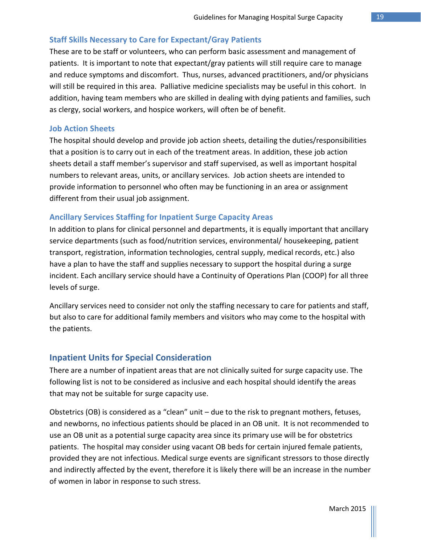# <span id="page-19-0"></span>**Staff Skills Necessary to Care for Expectant/Gray Patients**

These are to be staff or volunteers, who can perform basic assessment and management of patients. It is important to note that expectant/gray patients will still require care to manage and reduce symptoms and discomfort. Thus, nurses, advanced practitioners, and/or physicians will still be required in this area. Palliative medicine specialists may be useful in this cohort. In addition, having team members who are skilled in dealing with dying patients and families, such as clergy, social workers, and hospice workers, will often be of benefit.

## <span id="page-19-1"></span>**Job Action Sheets**

The hospital should develop and provide job action sheets, detailing the duties/responsibilities that a position is to carry out in each of the treatment areas. In addition, these job action sheets detail a staff member's supervisor and staff supervised, as well as important hospital numbers to relevant areas, units, or ancillary services. Job action sheets are intended to provide information to personnel who often may be functioning in an area or assignment different from their usual job assignment.

## <span id="page-19-2"></span>**Ancillary Services Staffing for Inpatient Surge Capacity Areas**

In addition to plans for clinical personnel and departments, it is equally important that ancillary service departments (such as food/nutrition services, environmental/ housekeeping, patient transport, registration, information technologies, central supply, medical records, etc.) also have a plan to have the staff and supplies necessary to support the hospital during a surge incident. Each ancillary service should have a Continuity of Operations Plan (COOP) for all three levels of surge.

Ancillary services need to consider not only the staffing necessary to care for patients and staff, but also to care for additional family members and visitors who may come to the hospital with the patients.

## <span id="page-19-3"></span>**Inpatient Units for Special Consideration**

There are a number of inpatient areas that are not clinically suited for surge capacity use. The following list is not to be considered as inclusive and each hospital should identify the areas that may not be suitable for surge capacity use.

Obstetrics (OB) is considered as a "clean" unit – due to the risk to pregnant mothers, fetuses, and newborns, no infectious patients should be placed in an OB unit. It is not recommended to use an OB unit as a potential surge capacity area since its primary use will be for obstetrics patients. The hospital may consider using vacant OB beds for certain injured female patients, provided they are not infectious. Medical surge events are significant stressors to those directly and indirectly affected by the event, therefore it is likely there will be an increase in the number of women in labor in response to such stress.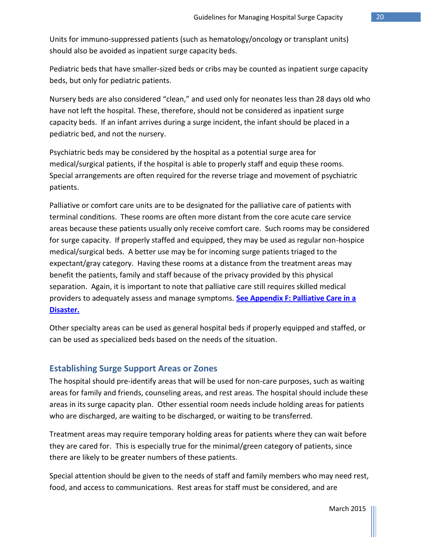Units for immuno-suppressed patients (such as hematology/oncology or transplant units) should also be avoided as inpatient surge capacity beds.

Pediatric beds that have smaller-sized beds or cribs may be counted as inpatient surge capacity beds, but only for pediatric patients.

Nursery beds are also considered "clean," and used only for neonates less than 28 days old who have not left the hospital. These, therefore, should not be considered as inpatient surge capacity beds. If an infant arrives during a surge incident, the infant should be placed in a pediatric bed, and not the nursery.

Psychiatric beds may be considered by the hospital as a potential surge area for medical/surgical patients, if the hospital is able to properly staff and equip these rooms. Special arrangements are often required for the reverse triage and movement of psychiatric patients.

Palliative or comfort care units are to be designated for the palliative care of patients with terminal conditions. These rooms are often more distant from the core acute care service areas because these patients usually only receive comfort care. Such rooms may be considered for surge capacity. If properly staffed and equipped, they may be used as regular non-hospice medical/surgical beds. A better use may be for incoming surge patients triaged to the expectant/gray category. Having these rooms at a distance from the treatment areas may benefit the patients, family and staff because of the privacy provided by this physical separation. Again, it is important to note that palliative care still requires skilled medical providers to adequately assess and manage symptoms. **[See Appendix F: Palliative Care in a](#page-43-0)  [Disaster.](#page-43-0)**

Other specialty areas can be used as general hospital beds if properly equipped and staffed, or can be used as specialized beds based on the needs of the situation.

# <span id="page-20-0"></span>**Establishing Surge Support Areas or Zones**

The hospital should pre-identify areas that will be used for non-care purposes, such as waiting areas for family and friends, counseling areas, and rest areas. The hospital should include these areas in its surge capacity plan. Other essential room needs include holding areas for patients who are discharged, are waiting to be discharged, or waiting to be transferred.

Treatment areas may require temporary holding areas for patients where they can wait before they are cared for. This is especially true for the minimal/green category of patients, since there are likely to be greater numbers of these patients.

Special attention should be given to the needs of staff and family members who may need rest, food, and access to communications. Rest areas for staff must be considered, and are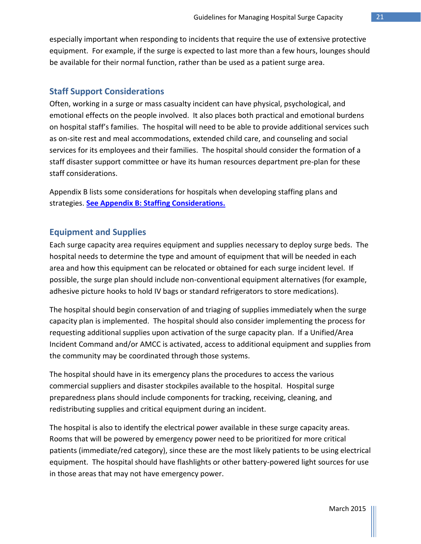especially important when responding to incidents that require the use of extensive protective equipment. For example, if the surge is expected to last more than a few hours, lounges should be available for their normal function, rather than be used as a patient surge area.

# <span id="page-21-0"></span>**Staff Support Considerations**

Often, working in a surge or mass casualty incident can have physical, psychological, and emotional effects on the people involved. It also places both practical and emotional burdens on hospital staff's families. The hospital will need to be able to provide additional services such as on-site rest and meal accommodations, extended child care, and counseling and social services for its employees and their families. The hospital should consider the formation of a staff disaster support committee or have its human resources department pre-plan for these staff considerations.

Appendix B lists some considerations for hospitals when developing staffing plans and strategies. **[See Appendix B: Staffing](#page-32-0) Considerations.**

# <span id="page-21-1"></span>**Equipment and Supplies**

Each surge capacity area requires equipment and supplies necessary to deploy surge beds. The hospital needs to determine the type and amount of equipment that will be needed in each area and how this equipment can be relocated or obtained for each surge incident level. If possible, the surge plan should include non-conventional equipment alternatives (for example, adhesive picture hooks to hold IV bags or standard refrigerators to store medications).

The hospital should begin conservation of and triaging of supplies immediately when the surge capacity plan is implemented. The hospital should also consider implementing the process for requesting additional supplies upon activation of the surge capacity plan. If a Unified/Area Incident Command and/or AMCC is activated, access to additional equipment and supplies from the community may be coordinated through those systems.

The hospital should have in its emergency plans the procedures to access the various commercial suppliers and disaster stockpiles available to the hospital. Hospital surge preparedness plans should include components for tracking, receiving, cleaning, and redistributing supplies and critical equipment during an incident.

The hospital is also to identify the electrical power available in these surge capacity areas. Rooms that will be powered by emergency power need to be prioritized for more critical patients (immediate/red category), since these are the most likely patients to be using electrical equipment. The hospital should have flashlights or other battery-powered light sources for use in those areas that may not have emergency power.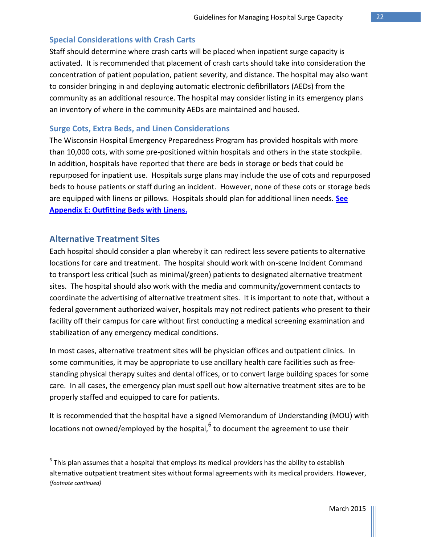# <span id="page-22-0"></span>**Special Considerations with Crash Carts**

Staff should determine where crash carts will be placed when inpatient surge capacity is activated. It is recommended that placement of crash carts should take into consideration the concentration of patient population, patient severity, and distance. The hospital may also want to consider bringing in and deploying automatic electronic defibrillators (AEDs) from the community as an additional resource. The hospital may consider listing in its emergency plans an inventory of where in the community AEDs are maintained and housed.

## <span id="page-22-1"></span>**Surge Cots, Extra Beds, and Linen Considerations**

The Wisconsin Hospital Emergency Preparedness Program has provided hospitals with more than 10,000 cots, with some pre-positioned within hospitals and others in the state stockpile. In addition, hospitals have reported that there are beds in storage or beds that could be repurposed for inpatient use. Hospitals surge plans may include the use of cots and repurposed beds to house patients or staff during an incident. However, none of these cots or storage beds are equipped with linens or pillows. Hospitals should plan for additional linen needs. **[See](#page-40-0)  [Appendix E: Outfitting Beds with Linens.](#page-40-0)**

# <span id="page-22-2"></span>**Alternative Treatment Sites**

 $\overline{\phantom{a}}$ 

Each hospital should consider a plan whereby it can redirect less severe patients to alternative locations for care and treatment. The hospital should work with on-scene Incident Command to transport less critical (such as minimal/green) patients to designated alternative treatment sites. The hospital should also work with the media and community/government contacts to coordinate the advertising of alternative treatment sites. It is important to note that, without a federal government authorized waiver, hospitals may not redirect patients who present to their facility off their campus for care without first conducting a medical screening examination and stabilization of any emergency medical conditions.

In most cases, alternative treatment sites will be physician offices and outpatient clinics. In some communities, it may be appropriate to use ancillary health care facilities such as freestanding physical therapy suites and dental offices, or to convert large building spaces for some care. In all cases, the emergency plan must spell out how alternative treatment sites are to be properly staffed and equipped to care for patients.

It is recommended that the hospital have a signed Memorandum of Understanding (MOU) with locations not owned/employed by the hospital,  $^6$  to document the agreement to use their

 $^6$  This plan assumes that a hospital that employs its medical providers has the ability to establish alternative outpatient treatment sites without formal agreements with its medical providers. However, *(footnote continued)*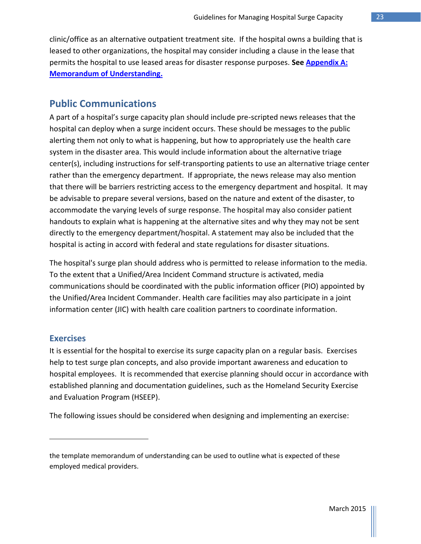clinic/office as an alternative outpatient treatment site. If the hospital owns a building that is leased to other organizations, the hospital may consider including a clause in the lease that permits the hospital to use leased areas for disaster response purposes. **See [Appendix A:](#page-25-0)  [Memorandum of Understanding.](#page-25-0)**

# <span id="page-23-0"></span>**Public Communications**

A part of a hospital's surge capacity plan should include pre-scripted news releases that the hospital can deploy when a surge incident occurs. These should be messages to the public alerting them not only to what is happening, but how to appropriately use the health care system in the disaster area. This would include information about the alternative triage center(s), including instructions for self-transporting patients to use an alternative triage center rather than the emergency department. If appropriate, the news release may also mention that there will be barriers restricting access to the emergency department and hospital. It may be advisable to prepare several versions, based on the nature and extent of the disaster, to accommodate the varying levels of surge response. The hospital may also consider patient handouts to explain what is happening at the alternative sites and why they may not be sent directly to the emergency department/hospital. A statement may also be included that the hospital is acting in accord with federal and state regulations for disaster situations.

The hospital's surge plan should address who is permitted to release information to the media. To the extent that a Unified/Area Incident Command structure is activated, media communications should be coordinated with the public information officer (PIO) appointed by the Unified/Area Incident Commander. Health care facilities may also participate in a joint information center (JIC) with health care coalition partners to coordinate information.

# <span id="page-23-1"></span>**Exercises**

l

It is essential for the hospital to exercise its surge capacity plan on a regular basis. Exercises help to test surge plan concepts, and also provide important awareness and education to hospital employees. It is recommended that exercise planning should occur in accordance with established planning and documentation guidelines, such as the Homeland Security Exercise and Evaluation Program (HSEEP).

The following issues should be considered when designing and implementing an exercise:

the template memorandum of understanding can be used to outline what is expected of these employed medical providers.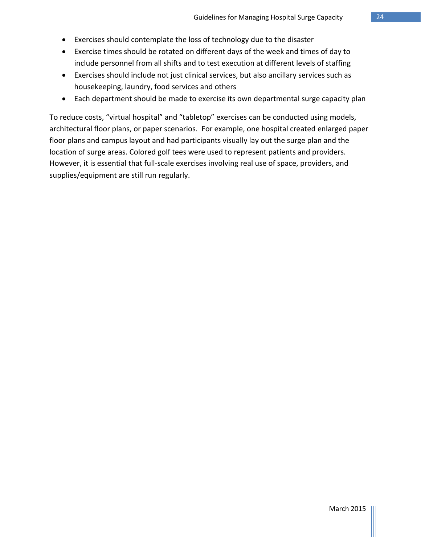- Exercises should contemplate the loss of technology due to the disaster
- Exercise times should be rotated on different days of the week and times of day to include personnel from all shifts and to test execution at different levels of staffing
- Exercises should include not just clinical services, but also ancillary services such as housekeeping, laundry, food services and others
- Each department should be made to exercise its own departmental surge capacity plan

To reduce costs, "virtual hospital" and "tabletop" exercises can be conducted using models, architectural floor plans, or paper scenarios. For example, one hospital created enlarged paper floor plans and campus layout and had participants visually lay out the surge plan and the location of surge areas. Colored golf tees were used to represent patients and providers. However, it is essential that full-scale exercises involving real use of space, providers, and supplies/equipment are still run regularly.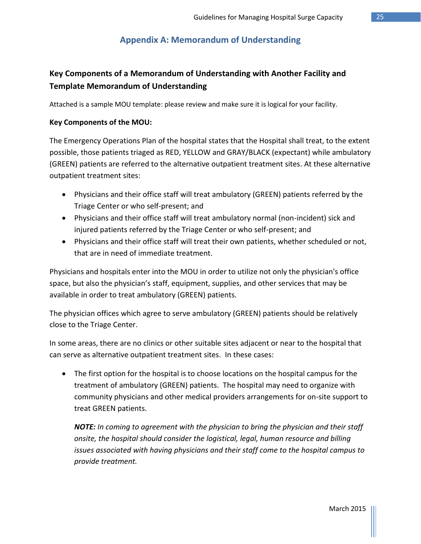# **Appendix A: Memorandum of Understanding**

# <span id="page-25-0"></span>**Key Components of a Memorandum of Understanding with Another Facility and Template Memorandum of Understanding**

Attached is a sample MOU template: please review and make sure it is logical for your facility.

### **Key Components of the MOU:**

The Emergency Operations Plan of the hospital states that the Hospital shall treat, to the extent possible, those patients triaged as RED, YELLOW and GRAY/BLACK (expectant) while ambulatory (GREEN) patients are referred to the alternative outpatient treatment sites. At these alternative outpatient treatment sites:

- Physicians and their office staff will treat ambulatory (GREEN) patients referred by the Triage Center or who self-present; and
- Physicians and their office staff will treat ambulatory normal (non-incident) sick and injured patients referred by the Triage Center or who self-present; and
- Physicians and their office staff will treat their own patients, whether scheduled or not, that are in need of immediate treatment.

Physicians and hospitals enter into the MOU in order to utilize not only the physician's office space, but also the physician's staff, equipment, supplies, and other services that may be available in order to treat ambulatory (GREEN) patients.

The physician offices which agree to serve ambulatory (GREEN) patients should be relatively close to the Triage Center.

In some areas, there are no clinics or other suitable sites adjacent or near to the hospital that can serve as alternative outpatient treatment sites. In these cases:

• The first option for the hospital is to choose locations on the hospital campus for the treatment of ambulatory (GREEN) patients. The hospital may need to organize with community physicians and other medical providers arrangements for on-site support to treat GREEN patients.

*NOTE: In coming to agreement with the physician to bring the physician and their staff onsite, the hospital should consider the logistical, legal, human resource and billing issues associated with having physicians and their staff come to the hospital campus to provide treatment.*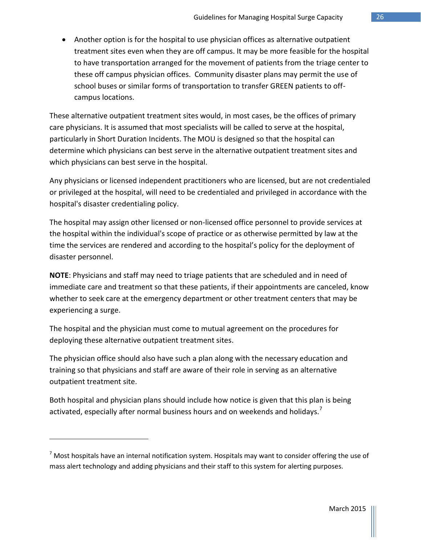Another option is for the hospital to use physician offices as alternative outpatient treatment sites even when they are off campus. It may be more feasible for the hospital to have transportation arranged for the movement of patients from the triage center to these off campus physician offices. Community disaster plans may permit the use of school buses or similar forms of transportation to transfer GREEN patients to offcampus locations.

These alternative outpatient treatment sites would, in most cases, be the offices of primary care physicians. It is assumed that most specialists will be called to serve at the hospital, particularly in Short Duration Incidents. The MOU is designed so that the hospital can determine which physicians can best serve in the alternative outpatient treatment sites and which physicians can best serve in the hospital.

Any physicians or licensed independent practitioners who are licensed, but are not credentialed or privileged at the hospital, will need to be credentialed and privileged in accordance with the hospital's disaster credentialing policy.

The hospital may assign other licensed or non-licensed office personnel to provide services at the hospital within the individual's scope of practice or as otherwise permitted by law at the time the services are rendered and according to the hospital's policy for the deployment of disaster personnel.

**NOTE**: Physicians and staff may need to triage patients that are scheduled and in need of immediate care and treatment so that these patients, if their appointments are canceled, know whether to seek care at the emergency department or other treatment centers that may be experiencing a surge.

The hospital and the physician must come to mutual agreement on the procedures for deploying these alternative outpatient treatment sites.

The physician office should also have such a plan along with the necessary education and training so that physicians and staff are aware of their role in serving as an alternative outpatient treatment site.

Both hospital and physician plans should include how notice is given that this plan is being activated, especially after normal business hours and on weekends and holidays.<sup>7</sup>

l

 $<sup>7</sup>$  Most hospitals have an internal notification system. Hospitals may want to consider offering the use of</sup> mass alert technology and adding physicians and their staff to this system for alerting purposes.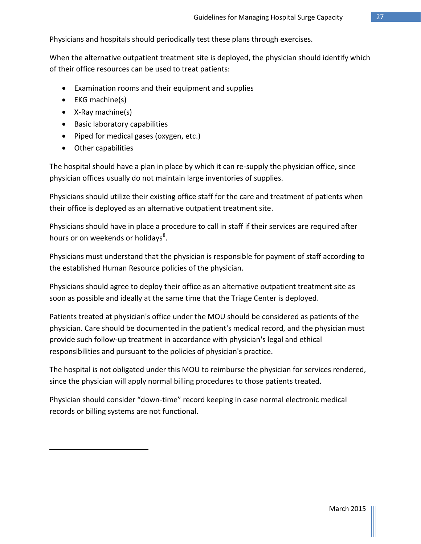Physicians and hospitals should periodically test these plans through exercises.

When the alternative outpatient treatment site is deployed, the physician should identify which of their office resources can be used to treat patients:

- Examination rooms and their equipment and supplies
- $\bullet$  EKG machine(s)
- X-Ray machine(s)
- **•** Basic laboratory capabilities
- Piped for medical gases (oxygen, etc.)
- Other capabilities

l

The hospital should have a plan in place by which it can re-supply the physician office, since physician offices usually do not maintain large inventories of supplies.

Physicians should utilize their existing office staff for the care and treatment of patients when their office is deployed as an alternative outpatient treatment site.

Physicians should have in place a procedure to call in staff if their services are required after hours or on weekends or holidays<sup>8</sup>.

Physicians must understand that the physician is responsible for payment of staff according to the established Human Resource policies of the physician.

Physicians should agree to deploy their office as an alternative outpatient treatment site as soon as possible and ideally at the same time that the Triage Center is deployed.

Patients treated at physician's office under the MOU should be considered as patients of the physician. Care should be documented in the patient's medical record, and the physician must provide such follow-up treatment in accordance with physician's legal and ethical responsibilities and pursuant to the policies of physician's practice.

The hospital is not obligated under this MOU to reimburse the physician for services rendered, since the physician will apply normal billing procedures to those patients treated.

Physician should consider "down-time" record keeping in case normal electronic medical records or billing systems are not functional.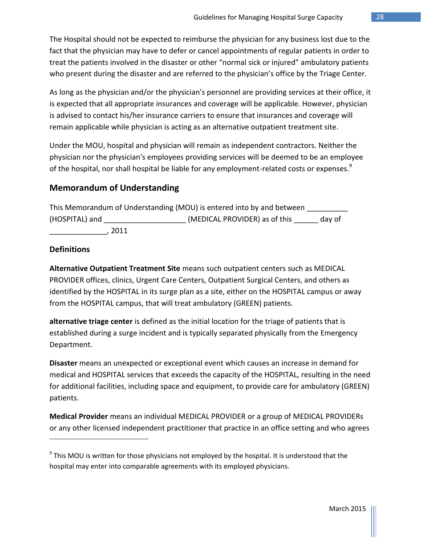The Hospital should not be expected to reimburse the physician for any business lost due to the fact that the physician may have to defer or cancel appointments of regular patients in order to treat the patients involved in the disaster or other "normal sick or injured" ambulatory patients who present during the disaster and are referred to the physician's office by the Triage Center.

As long as the physician and/or the physician's personnel are providing services at their office, it is expected that all appropriate insurances and coverage will be applicable. However, physician is advised to contact his/her insurance carriers to ensure that insurances and coverage will remain applicable while physician is acting as an alternative outpatient treatment site.

Under the MOU, hospital and physician will remain as independent contractors. Neither the physician nor the physician's employees providing services will be deemed to be an employee of the hospital, nor shall hospital be liable for any employment-related costs or expenses.<sup>9</sup>

# **Memorandum of Understanding**

|                |      | This Memorandum of Understanding (MOU) is entered into by and between |        |
|----------------|------|-----------------------------------------------------------------------|--------|
| (HOSPITAL) and |      | (MEDICAL PROVIDER) as of this                                         | dav of |
|                | 2011 |                                                                       |        |

## **Definitions**

l

**Alternative Outpatient Treatment Site** means such outpatient centers such as MEDICAL PROVIDER offices, clinics, Urgent Care Centers, Outpatient Surgical Centers, and others as identified by the HOSPITAL in its surge plan as a site, either on the HOSPITAL campus or away from the HOSPITAL campus, that will treat ambulatory (GREEN) patients.

**alternative triage center** is defined as the initial location for the triage of patients that is established during a surge incident and is typically separated physically from the Emergency Department.

**Disaster** means an unexpected or exceptional event which causes an increase in demand for medical and HOSPITAL services that exceeds the capacity of the HOSPITAL, resulting in the need for additional facilities, including space and equipment, to provide care for ambulatory (GREEN) patients.

**Medical Provider** means an individual MEDICAL PROVIDER or a group of MEDICAL PROVIDERs or any other licensed independent practitioner that practice in an office setting and who agrees

 $9$  This MOU is written for those physicians not employed by the hospital. It is understood that the hospital may enter into comparable agreements with its employed physicians.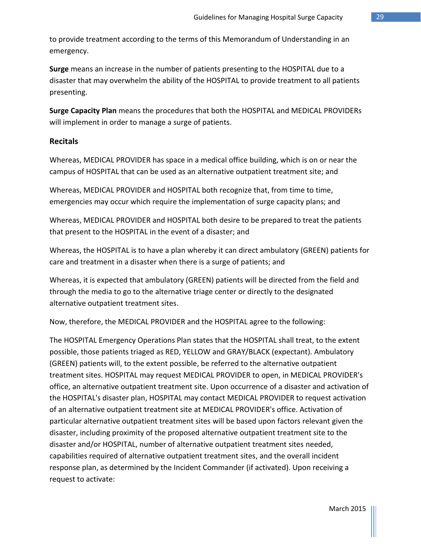to provide treatment according to the terms of this Memorandum of Understanding in an emergency.

**Surge** means an increase in the number of patients presenting to the HOSPITAL due to a disaster that may overwhelm the ability of the HOSPITAL to provide treatment to all patients presenting.

**Surge Capacity Plan** means the procedures that both the HOSPITAL and MEDICAL PROVIDERs will implement in order to manage a surge of patients.

# **Recitals**

Whereas, MEDICAL PROVIDER has space in a medical office building, which is on or near the campus of HOSPITAL that can be used as an alternative outpatient treatment site; and

Whereas, MEDICAL PROVIDER and HOSPITAL both recognize that, from time to time, emergencies may occur which require the implementation of surge capacity plans; and

Whereas, MEDICAL PROVIDER and HOSPITAL both desire to be prepared to treat the patients that present to the HOSPITAL in the event of a disaster; and

Whereas, the HOSPITAL is to have a plan whereby it can direct ambulatory (GREEN) patients for care and treatment in a disaster when there is a surge of patients; and

Whereas, it is expected that ambulatory (GREEN) patients will be directed from the field and through the media to go to the alternative triage center or directly to the designated alternative outpatient treatment sites.

Now, therefore, the MEDICAL PROVIDER and the HOSPITAL agree to the following:

The HOSPITAL Emergency Operations Plan states that the HOSPITAL shall treat, to the extent possible, those patients triaged as RED, YELLOW and GRAY/BLACK (expectant). Ambulatory (GREEN) patients will, to the extent possible, be referred to the alternative outpatient treatment sites. HOSPITAL may request MEDICAL PROVIDER to open, in MEDICAL PROVIDER's office, an alternative outpatient treatment site. Upon occurrence of a disaster and activation of the HOSPITAL's disaster plan, HOSPITAL may contact MEDICAL PROVIDER to request activation of an alternative outpatient treatment site at MEDICAL PROVIDER's office. Activation of particular alternative outpatient treatment sites will be based upon factors relevant given the disaster, including proximity of the proposed alternative outpatient treatment site to the disaster and/or HOSPITAL, number of alternative outpatient treatment sites needed, capabilities required of alternative outpatient treatment sites, and the overall incident response plan, as determined by the Incident Commander (if activated). Upon receiving a request to activate: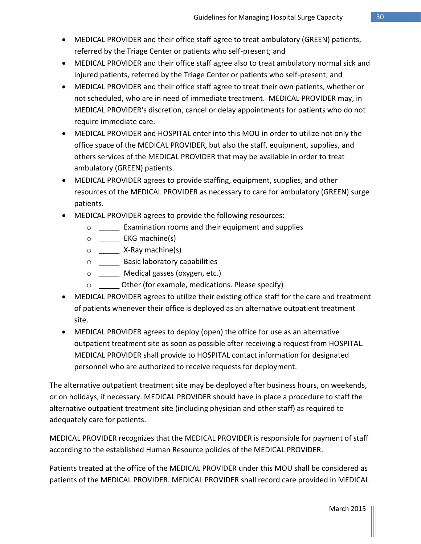- MEDICAL PROVIDER and their office staff agree to treat ambulatory (GREEN) patients, referred by the Triage Center or patients who self-present; and
- MEDICAL PROVIDER and their office staff agree also to treat ambulatory normal sick and injured patients, referred by the Triage Center or patients who self-present; and
- MEDICAL PROVIDER and their office staff agree to treat their own patients, whether or not scheduled, who are in need of immediate treatment. MEDICAL PROVIDER may, in MEDICAL PROVIDER's discretion, cancel or delay appointments for patients who do not require immediate care.
- MEDICAL PROVIDER and HOSPITAL enter into this MOU in order to utilize not only the office space of the MEDICAL PROVIDER, but also the staff, equipment, supplies, and others services of the MEDICAL PROVIDER that may be available in order to treat ambulatory (GREEN) patients.
- MEDICAL PROVIDER agrees to provide staffing, equipment, supplies, and other resources of the MEDICAL PROVIDER as necessary to care for ambulatory (GREEN) surge patients.
- MEDICAL PROVIDER agrees to provide the following resources:
	- o \_\_\_\_\_ Examination rooms and their equipment and supplies
	- o \_\_\_\_\_ EKG machine(s)
	- o \_\_\_\_\_ X-Ray machine(s)
	- o \_\_\_\_\_ Basic laboratory capabilities
	- o \_\_\_\_\_ Medical gasses (oxygen, etc.)
	- o \_\_\_\_\_ Other (for example, medications. Please specify)
- MEDICAL PROVIDER agrees to utilize their existing office staff for the care and treatment of patients whenever their office is deployed as an alternative outpatient treatment site.
- MEDICAL PROVIDER agrees to deploy (open) the office for use as an alternative outpatient treatment site as soon as possible after receiving a request from HOSPITAL. MEDICAL PROVIDER shall provide to HOSPITAL contact information for designated personnel who are authorized to receive requests for deployment.

The alternative outpatient treatment site may be deployed after business hours, on weekends, or on holidays, if necessary. MEDICAL PROVIDER should have in place a procedure to staff the alternative outpatient treatment site (including physician and other staff) as required to adequately care for patients.

MEDICAL PROVIDER recognizes that the MEDICAL PROVIDER is responsible for payment of staff according to the established Human Resource policies of the MEDICAL PROVIDER.

Patients treated at the office of the MEDICAL PROVIDER under this MOU shall be considered as patients of the MEDICAL PROVIDER. MEDICAL PROVIDER shall record care provided in MEDICAL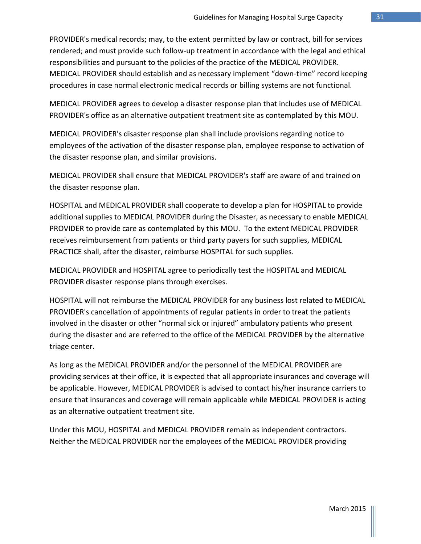PROVIDER's medical records; may, to the extent permitted by law or contract, bill for services rendered; and must provide such follow-up treatment in accordance with the legal and ethical responsibilities and pursuant to the policies of the practice of the MEDICAL PROVIDER. MEDICAL PROVIDER should establish and as necessary implement "down-time" record keeping procedures in case normal electronic medical records or billing systems are not functional.

MEDICAL PROVIDER agrees to develop a disaster response plan that includes use of MEDICAL PROVIDER's office as an alternative outpatient treatment site as contemplated by this MOU.

MEDICAL PROVIDER's disaster response plan shall include provisions regarding notice to employees of the activation of the disaster response plan, employee response to activation of the disaster response plan, and similar provisions.

MEDICAL PROVIDER shall ensure that MEDICAL PROVIDER's staff are aware of and trained on the disaster response plan.

HOSPITAL and MEDICAL PROVIDER shall cooperate to develop a plan for HOSPITAL to provide additional supplies to MEDICAL PROVIDER during the Disaster, as necessary to enable MEDICAL PROVIDER to provide care as contemplated by this MOU. To the extent MEDICAL PROVIDER receives reimbursement from patients or third party payers for such supplies, MEDICAL PRACTICE shall, after the disaster, reimburse HOSPITAL for such supplies.

MEDICAL PROVIDER and HOSPITAL agree to periodically test the HOSPITAL and MEDICAL PROVIDER disaster response plans through exercises.

HOSPITAL will not reimburse the MEDICAL PROVIDER for any business lost related to MEDICAL PROVIDER's cancellation of appointments of regular patients in order to treat the patients involved in the disaster or other "normal sick or injured" ambulatory patients who present during the disaster and are referred to the office of the MEDICAL PROVIDER by the alternative triage center.

As long as the MEDICAL PROVIDER and/or the personnel of the MEDICAL PROVIDER are providing services at their office, it is expected that all appropriate insurances and coverage will be applicable. However, MEDICAL PROVIDER is advised to contact his/her insurance carriers to ensure that insurances and coverage will remain applicable while MEDICAL PROVIDER is acting as an alternative outpatient treatment site.

Under this MOU, HOSPITAL and MEDICAL PROVIDER remain as independent contractors. Neither the MEDICAL PROVIDER nor the employees of the MEDICAL PROVIDER providing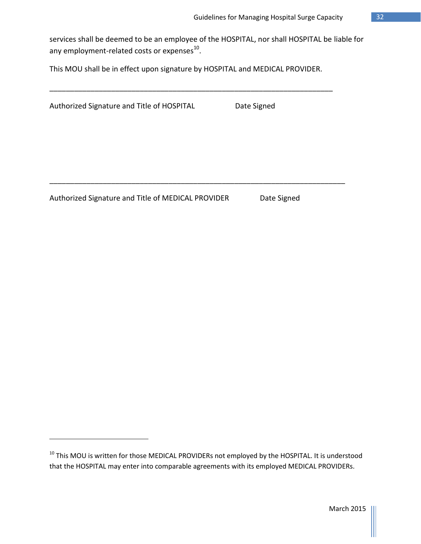services shall be deemed to be an employee of the HOSPITAL, nor shall HOSPITAL be liable for any employment-related costs or expenses $^{10}$ .

This MOU shall be in effect upon signature by HOSPITAL and MEDICAL PROVIDER.

\_\_\_\_\_\_\_\_\_\_\_\_\_\_\_\_\_\_\_\_\_\_\_\_\_\_\_\_\_\_\_\_\_\_\_\_\_\_\_\_\_\_\_\_\_\_\_\_\_\_\_\_\_\_\_\_\_\_\_\_\_\_\_\_\_\_\_\_\_

\_\_\_\_\_\_\_\_\_\_\_\_\_\_\_\_\_\_\_\_\_\_\_\_\_\_\_\_\_\_\_\_\_\_\_\_\_\_\_\_\_\_\_\_\_\_\_\_\_\_\_\_\_\_\_\_\_\_\_\_\_\_\_\_\_\_\_\_\_\_\_\_

Authorized Signature and Title of HOSPITAL Date Signed

<span id="page-32-0"></span>Authorized Signature and Title of MEDICAL PROVIDER Date Signed

l

<sup>&</sup>lt;sup>10</sup> This MOU is written for those MEDICAL PROVIDERs not employed by the HOSPITAL. It is understood that the HOSPITAL may enter into comparable agreements with its employed MEDICAL PROVIDERs.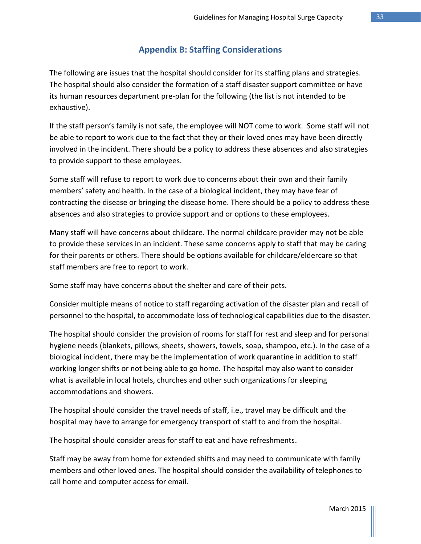# **Appendix B: Staffing Considerations**

<span id="page-33-0"></span>The following are issues that the hospital should consider for its staffing plans and strategies. The hospital should also consider the formation of a staff disaster support committee or have its human resources department pre-plan for the following (the list is not intended to be exhaustive).

If the staff person's family is not safe, the employee will NOT come to work. Some staff will not be able to report to work due to the fact that they or their loved ones may have been directly involved in the incident. There should be a policy to address these absences and also strategies to provide support to these employees.

Some staff will refuse to report to work due to concerns about their own and their family members' safety and health. In the case of a biological incident, they may have fear of contracting the disease or bringing the disease home. There should be a policy to address these absences and also strategies to provide support and or options to these employees.

Many staff will have concerns about childcare. The normal childcare provider may not be able to provide these services in an incident. These same concerns apply to staff that may be caring for their parents or others. There should be options available for childcare/eldercare so that staff members are free to report to work.

Some staff may have concerns about the shelter and care of their pets.

Consider multiple means of notice to staff regarding activation of the disaster plan and recall of personnel to the hospital, to accommodate loss of technological capabilities due to the disaster.

The hospital should consider the provision of rooms for staff for rest and sleep and for personal hygiene needs (blankets, pillows, sheets, showers, towels, soap, shampoo, etc.). In the case of a biological incident, there may be the implementation of work quarantine in addition to staff working longer shifts or not being able to go home. The hospital may also want to consider what is available in local hotels, churches and other such organizations for sleeping accommodations and showers.

The hospital should consider the travel needs of staff, i.e., travel may be difficult and the hospital may have to arrange for emergency transport of staff to and from the hospital.

The hospital should consider areas for staff to eat and have refreshments.

Staff may be away from home for extended shifts and may need to communicate with family members and other loved ones. The hospital should consider the availability of telephones to call home and computer access for email.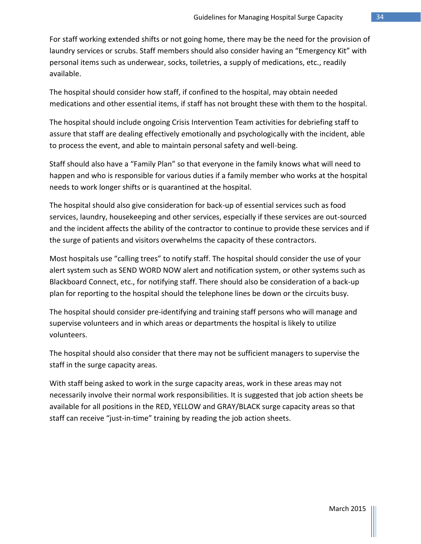For staff working extended shifts or not going home, there may be the need for the provision of laundry services or scrubs. Staff members should also consider having an "Emergency Kit" with personal items such as underwear, socks, toiletries, a supply of medications, etc., readily available.

The hospital should consider how staff, if confined to the hospital, may obtain needed medications and other essential items, if staff has not brought these with them to the hospital.

The hospital should include ongoing Crisis Intervention Team activities for debriefing staff to assure that staff are dealing effectively emotionally and psychologically with the incident, able to process the event, and able to maintain personal safety and well-being.

Staff should also have a "Family Plan" so that everyone in the family knows what will need to happen and who is responsible for various duties if a family member who works at the hospital needs to work longer shifts or is quarantined at the hospital.

The hospital should also give consideration for back-up of essential services such as food services, laundry, housekeeping and other services, especially if these services are out-sourced and the incident affects the ability of the contractor to continue to provide these services and if the surge of patients and visitors overwhelms the capacity of these contractors.

Most hospitals use "calling trees" to notify staff. The hospital should consider the use of your alert system such as SEND WORD NOW alert and notification system, or other systems such as Blackboard Connect, etc., for notifying staff. There should also be consideration of a back-up plan for reporting to the hospital should the telephone lines be down or the circuits busy.

The hospital should consider pre-identifying and training staff persons who will manage and supervise volunteers and in which areas or departments the hospital is likely to utilize volunteers.

The hospital should also consider that there may not be sufficient managers to supervise the staff in the surge capacity areas.

<span id="page-34-0"></span>With staff being asked to work in the surge capacity areas, work in these areas may not necessarily involve their normal work responsibilities. It is suggested that job action sheets be available for all positions in the RED, YELLOW and GRAY/BLACK surge capacity areas so that staff can receive "just-in-time" training by reading the job action sheets.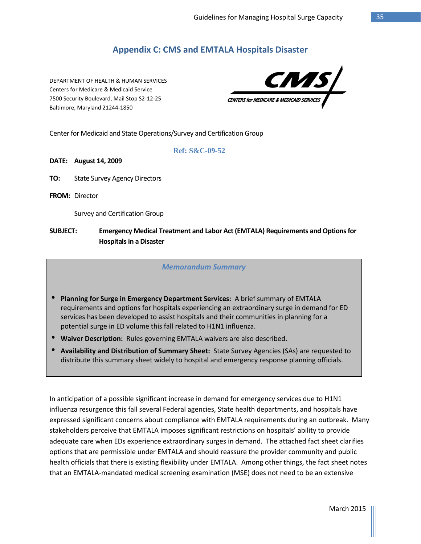# **Appendix C: CMS and EMTALA Hospitals Disaster**

<span id="page-35-0"></span>DEPARTMENT OF HEALTH & HUMAN SERVICES Centers for Medicare & Medicaid Service 7500 Security Boulevard, Mail Stop S2-12-25 Baltimore, Maryland 21244-1850



Center for Medicaid and State Operations/Survey and Certification Group

**Ref: S&C-09-52**

**DATE: August 14, 2009** 

**TO:** State Survey Agency Directors

**FROM:** Director

Survey and Certification Group

**SUBJECT: Emergency Medical Treatment and Labor Act (EMTALA) Requirements and Options for Hospitals in a Disaster**

#### *Memorandum Summary*

- **Planning for Surge in Emergency Department Services:** A brief summary of EMTALA requirements and options for hospitals experiencing an extraordinary surge in demand for ED services has been developed to assist hospitals and their communities in planning for a potential surge in ED volume this fall related to H1N1 influenza.
- **Waiver Description:** Rules governing EMTALA waivers are also described.
- **Availability and Distribution of Summary Sheet:** State Survey Agencies (SAs) are requested to distribute this summary sheet widely to hospital and emergency response planning officials.

In anticipation of a possible significant increase in demand for emergency services due to H1N1 influenza resurgence this fall several Federal agencies, State health departments, and hospitals have expressed significant concerns about compliance with EMTALA requirements during an outbreak. Many stakeholders perceive that EMTALA imposes significant restrictions on hospitals' ability to provide adequate care when EDs experience extraordinary surges in demand. The attached fact sheet clarifies options that are permissible under EMTALA and should reassure the provider community and public health officials that there is existing flexibility under EMTALA. Among other things, the fact sheet notes that an EMTALA-mandated medical screening examination (MSE) does not need to be an extensive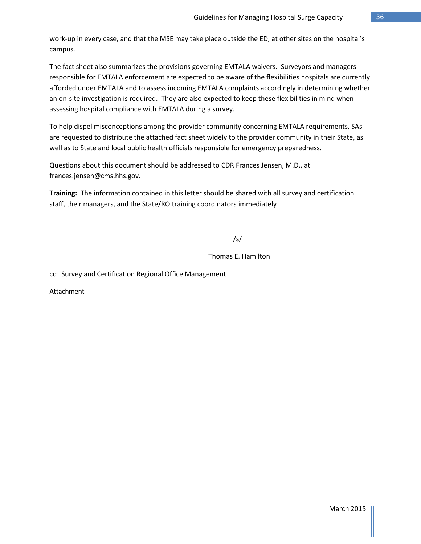work-up in every case, and that the MSE may take place outside the ED, at other sites on the hospital's campus.

The fact sheet also summarizes the provisions governing EMTALA waivers. Surveyors and managers responsible for EMTALA enforcement are expected to be aware of the flexibilities hospitals are currently afforded under EMTALA and to assess incoming EMTALA complaints accordingly in determining whether an on-site investigation is required. They are also expected to keep these flexibilities in mind when assessing hospital compliance with EMTALA during a survey.

To help dispel misconceptions among the provider community concerning EMTALA requirements, SAs are requested to distribute the attached fact sheet widely to the provider community in their State, as well as to State and local public health officials responsible for emergency preparedness.

Questions about this document should be addressed to CDR Frances Jensen, M.D., at frances.jensen@cms.hhs.gov.

**Training:** The information contained in this letter should be shared with all survey and certification staff, their managers, and the State/RO training coordinators immediately

/s/

## Thomas E. Hamilton

### cc: Survey and Certification Regional Office Management

<span id="page-36-0"></span>Attachment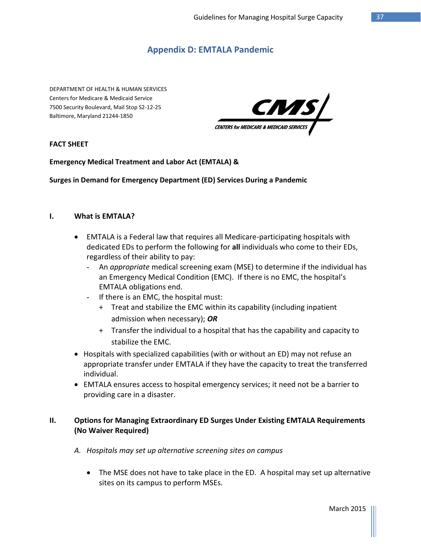# **Appendix D: EMTALA Pandemic**

<span id="page-37-0"></span>DEPARTMENT OF HEALTH & HUMAN SERVICES Centers for Medicare & Medicaid Service 7500 Security Boulevard, Mail Stop S2-12-25 Baltimore, Maryland 21244-1850

CMS/ **CENTERS for MEDICARE & MEDICAID SERVICES** 

## **FACT SHEET**

**Emergency Medical Treatment and Labor Act (EMTALA) &**

**Surges in Demand for Emergency Department (ED) Services During a Pandemic**

## **I. What is EMTALA?**

- EMTALA is a Federal law that requires all Medicare-participating hospitals with dedicated EDs to perform the following for **all** individuals who come to their EDs, regardless of their ability to pay:
	- An *appropriate* medical screening exam (MSE) to determine if the individual has an Emergency Medical Condition (EMC). If there is no EMC, the hospital's EMTALA obligations end.
	- If there is an EMC, the hospital must:
		- + Treat and stabilize the EMC within its capability (including inpatient admission when necessary); *OR*
		- + Transfer the individual to a hospital that has the capability and capacity to stabilize the EMC.
- Hospitals with specialized capabilities (with or without an ED) may not refuse an appropriate transfer under EMTALA if they have the capacity to treat the transferred individual.
- EMTALA ensures access to hospital emergency services; it need not be a barrier to providing care in a disaster.

# **II. Options for Managing Extraordinary ED Surges Under Existing EMTALA Requirements (No Waiver Required)**

- *A. Hospitals may set up alternative screening sites on campus*
	- The MSE does not have to take place in the ED. A hospital may set up alternative sites on its campus to perform MSEs.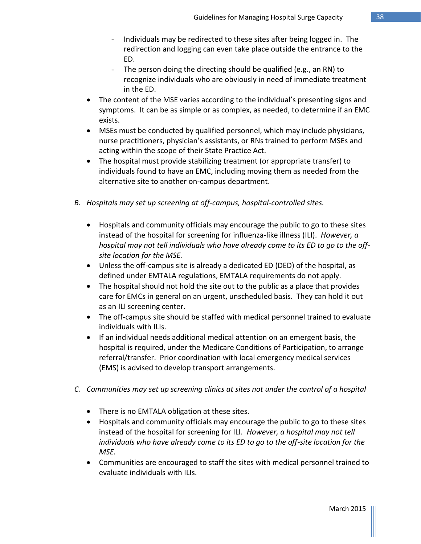- Individuals may be redirected to these sites after being logged in. The redirection and logging can even take place outside the entrance to the ED.
- The person doing the directing should be qualified (e.g., an RN) to recognize individuals who are obviously in need of immediate treatment in the ED.
- The content of the MSE varies according to the individual's presenting signs and symptoms. It can be as simple or as complex, as needed, to determine if an EMC exists.
- MSEs must be conducted by qualified personnel, which may include physicians, nurse practitioners, physician's assistants, or RNs trained to perform MSEs and acting within the scope of their State Practice Act.
- The hospital must provide stabilizing treatment (or appropriate transfer) to individuals found to have an EMC, including moving them as needed from the alternative site to another on-campus department.
- *B. Hospitals may set up screening at off-campus, hospital-controlled sites.*
	- Hospitals and community officials may encourage the public to go to these sites instead of the hospital for screening for influenza-like illness (ILI). *However, a hospital may not tell individuals who have already come to its ED to go to the offsite location for the MSE.*
	- Unless the off-campus site is already a dedicated ED (DED) of the hospital, as defined under EMTALA regulations, EMTALA requirements do not apply.
	- The hospital should not hold the site out to the public as a place that provides care for EMCs in general on an urgent, unscheduled basis. They can hold it out as an ILI screening center.
	- The off-campus site should be staffed with medical personnel trained to evaluate individuals with ILIs.
	- If an individual needs additional medical attention on an emergent basis, the hospital is required, under the Medicare Conditions of Participation, to arrange referral/transfer. Prior coordination with local emergency medical services (EMS) is advised to develop transport arrangements.
- *C. Communities may set up screening clinics at sites not under the control of a hospital*
	- There is no EMTALA obligation at these sites.
	- Hospitals and community officials may encourage the public to go to these sites instead of the hospital for screening for ILI. *However, a hospital may not tell individuals who have already come to its ED to go to the off-site location for the MSE.*
	- Communities are encouraged to staff the sites with medical personnel trained to evaluate individuals with ILIs.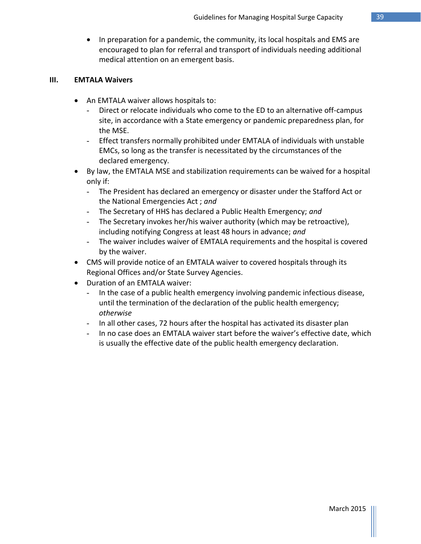• In preparation for a pandemic, the community, its local hospitals and EMS are encouraged to plan for referral and transport of individuals needing additional medical attention on an emergent basis.

## **III. EMTALA Waivers**

- An EMTALA waiver allows hospitals to:
	- Direct or relocate individuals who come to the ED to an alternative off-campus site, in accordance with a State emergency or pandemic preparedness plan, for the MSE.
	- Effect transfers normally prohibited under EMTALA of individuals with unstable EMCs, so long as the transfer is necessitated by the circumstances of the declared emergency.
- By law, the EMTALA MSE and stabilization requirements can be waived for a hospital only if:
	- The President has declared an emergency or disaster under the Stafford Act or the National Emergencies Act ; *and*
	- The Secretary of HHS has declared a Public Health Emergency; *and*
	- The Secretary invokes her/his waiver authority (which may be retroactive), including notifying Congress at least 48 hours in advance; *and*
	- The waiver includes waiver of EMTALA requirements and the hospital is covered by the waiver.
- CMS will provide notice of an EMTALA waiver to covered hospitals through its Regional Offices and/or State Survey Agencies.
- Duration of an EMTALA waiver:
	- In the case of a public health emergency involving pandemic infectious disease, until the termination of the declaration of the public health emergency; *otherwise*
	- In all other cases, 72 hours after the hospital has activated its disaster plan
	- In no case does an EMTALA waiver start before the waiver's effective date, which is usually the effective date of the public health emergency declaration.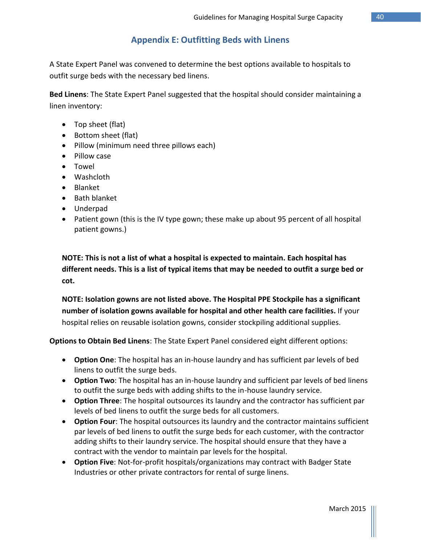# **Appendix E: Outfitting Beds with Linens**

<span id="page-40-0"></span>A State Expert Panel was convened to determine the best options available to hospitals to outfit surge beds with the necessary bed linens.

**Bed Linens**: The State Expert Panel suggested that the hospital should consider maintaining a linen inventory:

- Top sheet (flat)
- Bottom sheet (flat)
- Pillow (minimum need three pillows each)
- Pillow case
- Towel
- Washcloth
- Blanket
- Bath blanket
- Underpad
- Patient gown (this is the IV type gown; these make up about 95 percent of all hospital patient gowns.)

**NOTE: This is not a list of what a hospital is expected to maintain. Each hospital has different needs. This is a list of typical items that may be needed to outfit a surge bed or cot.** 

**NOTE: Isolation gowns are not listed above. The Hospital PPE Stockpile has a significant number of isolation gowns available for hospital and other health care facilities.** If your hospital relies on reusable isolation gowns, consider stockpiling additional supplies.

**Options to Obtain Bed Linens**: The State Expert Panel considered eight different options:

- **Option One**: The hospital has an in-house laundry and has sufficient par levels of bed linens to outfit the surge beds.
- **Option Two**: The hospital has an in-house laundry and sufficient par levels of bed linens to outfit the surge beds with adding shifts to the in-house laundry service.
- **Option Three**: The hospital outsources its laundry and the contractor has sufficient par levels of bed linens to outfit the surge beds for all customers.
- **Option Four**: The hospital outsources its laundry and the contractor maintains sufficient par levels of bed linens to outfit the surge beds for each customer, with the contractor adding shifts to their laundry service. The hospital should ensure that they have a contract with the vendor to maintain par levels for the hospital.
- **Option Five**: Not-for-profit hospitals/organizations may contract with Badger State Industries or other private contractors for rental of surge linens.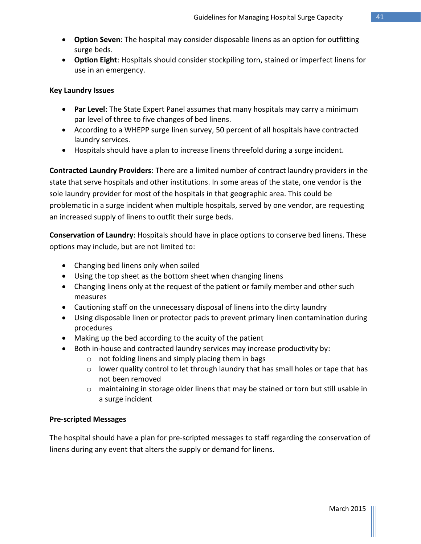- **Option Seven**: The hospital may consider disposable linens as an option for outfitting surge beds.
- **Option Eight**: Hospitals should consider stockpiling torn, stained or imperfect linens for use in an emergency.

## **Key Laundry Issues**

- **Par Level**: The State Expert Panel assumes that many hospitals may carry a minimum par level of three to five changes of bed linens.
- According to a WHEPP surge linen survey, 50 percent of all hospitals have contracted laundry services.
- Hospitals should have a plan to increase linens threefold during a surge incident.

**Contracted Laundry Providers**: There are a limited number of contract laundry providers in the state that serve hospitals and other institutions. In some areas of the state, one vendor is the sole laundry provider for most of the hospitals in that geographic area. This could be problematic in a surge incident when multiple hospitals, served by one vendor, are requesting an increased supply of linens to outfit their surge beds.

**Conservation of Laundry**: Hospitals should have in place options to conserve bed linens. These options may include, but are not limited to:

- Changing bed linens only when soiled
- Using the top sheet as the bottom sheet when changing linens
- Changing linens only at the request of the patient or family member and other such measures
- Cautioning staff on the unnecessary disposal of linens into the dirty laundry
- Using disposable linen or protector pads to prevent primary linen contamination during procedures
- Making up the bed according to the acuity of the patient
- Both in-house and contracted laundry services may increase productivity by:
	- o not folding linens and simply placing them in bags
	- o lower quality control to let through laundry that has small holes or tape that has not been removed
	- o maintaining in storage older linens that may be stained or torn but still usable in a surge incident

# **Pre-scripted Messages**

The hospital should have a plan for pre-scripted messages to staff regarding the conservation of linens during any event that alters the supply or demand for linens.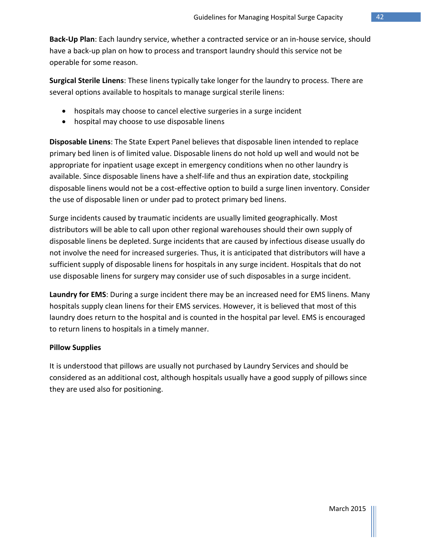**Back-Up Plan**: Each laundry service, whether a contracted service or an in-house service, should have a back-up plan on how to process and transport laundry should this service not be operable for some reason.

**Surgical Sterile Linens**: These linens typically take longer for the laundry to process. There are several options available to hospitals to manage surgical sterile linens:

- hospitals may choose to cancel elective surgeries in a surge incident
- hospital may choose to use disposable linens

**Disposable Linens**: The State Expert Panel believes that disposable linen intended to replace primary bed linen is of limited value. Disposable linens do not hold up well and would not be appropriate for inpatient usage except in emergency conditions when no other laundry is available. Since disposable linens have a shelf-life and thus an expiration date, stockpiling disposable linens would not be a cost-effective option to build a surge linen inventory. Consider the use of disposable linen or under pad to protect primary bed linens.

Surge incidents caused by traumatic incidents are usually limited geographically. Most distributors will be able to call upon other regional warehouses should their own supply of disposable linens be depleted. Surge incidents that are caused by infectious disease usually do not involve the need for increased surgeries. Thus, it is anticipated that distributors will have a sufficient supply of disposable linens for hospitals in any surge incident. Hospitals that do not use disposable linens for surgery may consider use of such disposables in a surge incident.

**Laundry for EMS**: During a surge incident there may be an increased need for EMS linens. Many hospitals supply clean linens for their EMS services. However, it is believed that most of this laundry does return to the hospital and is counted in the hospital par level. EMS is encouraged to return linens to hospitals in a timely manner.

# **Pillow Supplies**

It is understood that pillows are usually not purchased by Laundry Services and should be considered as an additional cost, although hospitals usually have a good supply of pillows since they are used also for positioning.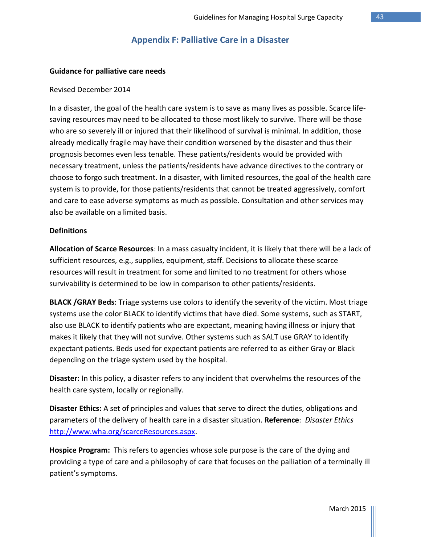# **Appendix F: Palliative Care in a Disaster**

#### <span id="page-43-0"></span>**Guidance for palliative care needs**

#### Revised December 2014

In a disaster, the goal of the health care system is to save as many lives as possible. Scarce lifesaving resources may need to be allocated to those most likely to survive. There will be those who are so severely ill or injured that their likelihood of survival is minimal. In addition, those already medically fragile may have their condition worsened by the disaster and thus their prognosis becomes even less tenable. These patients/residents would be provided with necessary treatment, unless the patients/residents have advance directives to the contrary or choose to forgo such treatment. In a disaster, with limited resources, the goal of the health care system is to provide, for those patients/residents that cannot be treated aggressively, comfort and care to ease adverse symptoms as much as possible. Consultation and other services may also be available on a limited basis.

## **Definitions**

**Allocation of Scarce Resources**: In a mass casualty incident, it is likely that there will be a lack of sufficient resources, e.g., supplies, equipment, staff. Decisions to allocate these scarce resources will result in treatment for some and limited to no treatment for others whose survivability is determined to be low in comparison to other patients/residents.

**BLACK /GRAY Beds**: Triage systems use colors to identify the severity of the victim. Most triage systems use the color BLACK to identify victims that have died. Some systems, such as START, also use BLACK to identify patients who are expectant, meaning having illness or injury that makes it likely that they will not survive. Other systems such as SALT use GRAY to identify expectant patients. Beds used for expectant patients are referred to as either Gray or Black depending on the triage system used by the hospital.

**Disaster:** In this policy, a disaster refers to any incident that overwhelms the resources of the health care system, locally or regionally.

**Disaster Ethics:** A set of principles and values that serve to direct the duties, obligations and parameters of the delivery of health care in a disaster situation. **Reference**: *Disaster Ethics* [http://www.wha.org/scarceResources.aspx.](http://www.wha.org/scarceResources.aspx)

**Hospice Program:** This refers to agencies whose sole purpose is the care of the dying and providing a type of care and a philosophy of care that focuses on the palliation of a terminally ill patient's symptoms.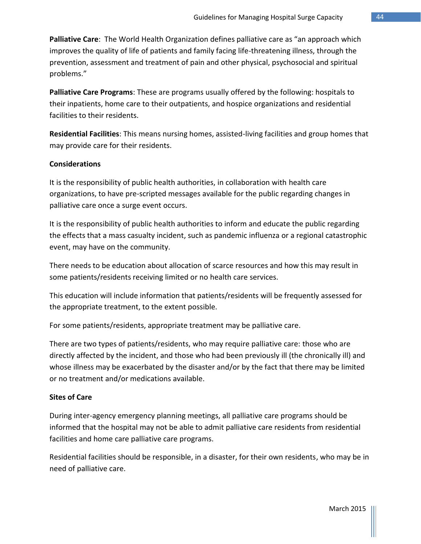**Palliative Care**: The World Health Organization defines palliative care as "an approach which improves the quality of life of patients and family facing life-threatening illness, through the prevention, assessment and treatment of pain and other physical, psychosocial and spiritual problems."

**Palliative Care Programs**: These are programs usually offered by the following: hospitals to their inpatients, home care to their outpatients, and hospice organizations and residential facilities to their residents.

**Residential Facilities**: This means nursing homes, assisted-living facilities and group homes that may provide care for their residents.

## **Considerations**

It is the responsibility of public health authorities, in collaboration with health care organizations, to have pre-scripted messages available for the public regarding changes in palliative care once a surge event occurs.

It is the responsibility of public health authorities to inform and educate the public regarding the effects that a mass casualty incident, such as pandemic influenza or a regional catastrophic event, may have on the community.

There needs to be education about allocation of scarce resources and how this may result in some patients/residents receiving limited or no health care services.

This education will include information that patients/residents will be frequently assessed for the appropriate treatment, to the extent possible.

For some patients/residents, appropriate treatment may be palliative care.

There are two types of patients/residents, who may require palliative care: those who are directly affected by the incident, and those who had been previously ill (the chronically ill) and whose illness may be exacerbated by the disaster and/or by the fact that there may be limited or no treatment and/or medications available.

## **Sites of Care**

During inter-agency emergency planning meetings, all palliative care programs should be informed that the hospital may not be able to admit palliative care residents from residential facilities and home care palliative care programs.

Residential facilities should be responsible, in a disaster, for their own residents, who may be in need of palliative care.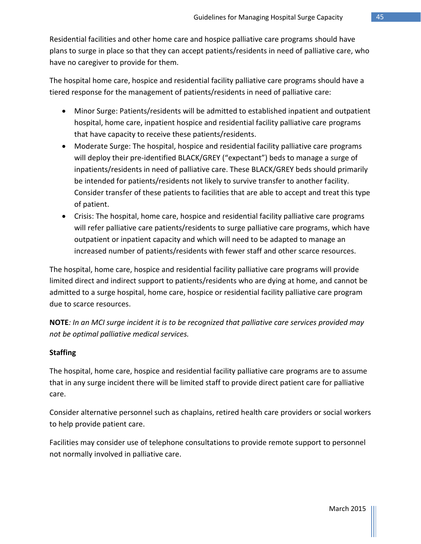Residential facilities and other home care and hospice palliative care programs should have plans to surge in place so that they can accept patients/residents in need of palliative care, who have no caregiver to provide for them.

The hospital home care, hospice and residential facility palliative care programs should have a tiered response for the management of patients/residents in need of palliative care:

- Minor Surge: Patients/residents will be admitted to established inpatient and outpatient hospital, home care, inpatient hospice and residential facility palliative care programs that have capacity to receive these patients/residents.
- Moderate Surge: The hospital, hospice and residential facility palliative care programs will deploy their pre-identified BLACK/GREY ("expectant") beds to manage a surge of inpatients/residents in need of palliative care. These BLACK/GREY beds should primarily be intended for patients/residents not likely to survive transfer to another facility. Consider transfer of these patients to facilities that are able to accept and treat this type of patient.
- Crisis: The hospital, home care, hospice and residential facility palliative care programs will refer palliative care patients/residents to surge palliative care programs, which have outpatient or inpatient capacity and which will need to be adapted to manage an increased number of patients/residents with fewer staff and other scarce resources.

The hospital, home care, hospice and residential facility palliative care programs will provide limited direct and indirect support to patients/residents who are dying at home, and cannot be admitted to a surge hospital, home care, hospice or residential facility palliative care program due to scarce resources.

**NOTE***: In an MCI surge incident it is to be recognized that palliative care services provided may not be optimal palliative medical services.*

# **Staffing**

The hospital, home care, hospice and residential facility palliative care programs are to assume that in any surge incident there will be limited staff to provide direct patient care for palliative care.

Consider alternative personnel such as chaplains, retired health care providers or social workers to help provide patient care.

Facilities may consider use of telephone consultations to provide remote support to personnel not normally involved in palliative care.